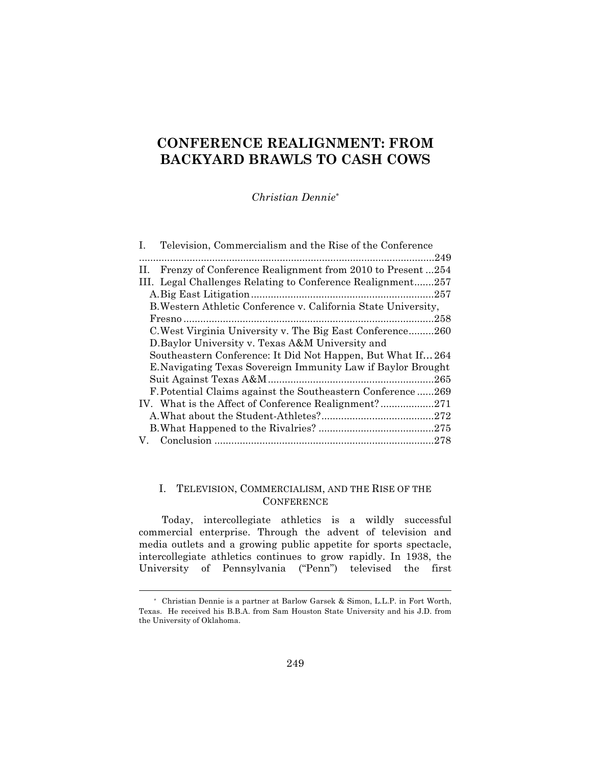# **CONFERENCE REALIGNMENT: FROM BACKYARD BRAWLS TO CASH COWS**

*Christian Dennie\**

| Television, Commercialism and the Rise of the Conference<br>Ι. |
|----------------------------------------------------------------|
| .249                                                           |
| Frenzy of Conference Realignment from 2010 to Present254<br>H. |
| III. Legal Challenges Relating to Conference Realignment257    |
|                                                                |
| B. Western Athletic Conference v. California State University, |
| .258                                                           |
| C. West Virginia University v. The Big East Conference260      |
| D. Baylor University v. Texas A&M University and               |
| Southeastern Conference: It Did Not Happen, But What If 264    |
| E. Navigating Texas Sovereign Immunity Law if Baylor Brought   |
| 265                                                            |
| F. Potential Claims against the Southeastern Conference269     |
|                                                                |
|                                                                |
|                                                                |
| V.                                                             |

## I. TELEVISION, COMMERCIALISM, AND THE RISE OF THE **CONFERENCE**

Today, intercollegiate athletics is a wildly successful commercial enterprise. Through the advent of television and media outlets and a growing public appetite for sports spectacle, intercollegiate athletics continues to grow rapidly. In 1938, the University of Pennsylvania ("Penn") televised the first

<sup>\*</sup> Christian Dennie is a partner at Barlow Garsek & Simon, L.L.P. in Fort Worth, Texas. He received his B.B.A. from Sam Houston State University and his J.D. from the University of Oklahoma.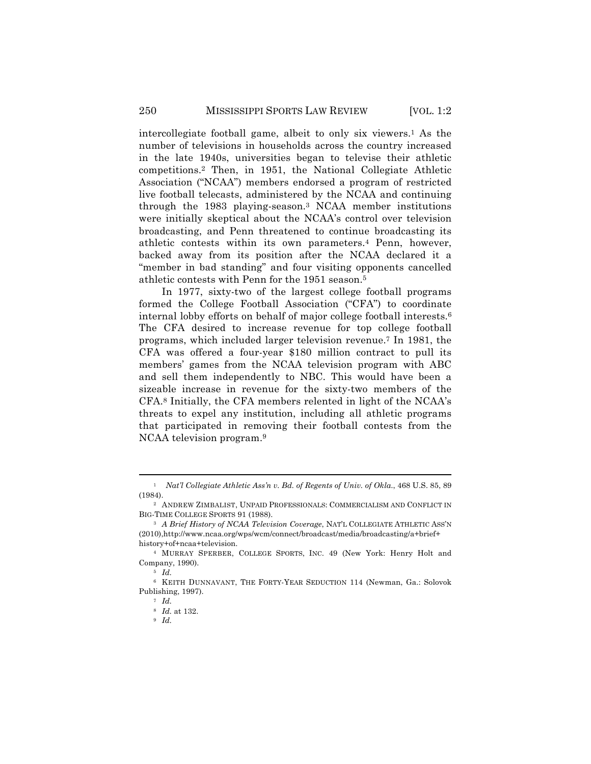intercollegiate football game, albeit to only six viewers.1 As the number of televisions in households across the country increased in the late 1940s, universities began to televise their athletic competitions.2 Then, in 1951, the National Collegiate Athletic Association ("NCAA") members endorsed a program of restricted live football telecasts, administered by the NCAA and continuing through the 1983 playing-season.3 NCAA member institutions were initially skeptical about the NCAA's control over television broadcasting, and Penn threatened to continue broadcasting its athletic contests within its own parameters.4 Penn, however, backed away from its position after the NCAA declared it a "member in bad standing" and four visiting opponents cancelled athletic contests with Penn for the 1951 season.5

In 1977, sixty-two of the largest college football programs formed the College Football Association ("CFA") to coordinate internal lobby efforts on behalf of major college football interests.6 The CFA desired to increase revenue for top college football programs, which included larger television revenue.7 In 1981, the CFA was offered a four-year \$180 million contract to pull its members' games from the NCAA television program with ABC and sell them independently to NBC. This would have been a sizeable increase in revenue for the sixty-two members of the CFA.8 Initially, the CFA members relented in light of the NCAA's threats to expel any institution, including all athletic programs that participated in removing their football contests from the NCAA television program.9

<sup>!!!!!!!!!!!!!!!!!!!!!!!!!!!!!!!!!!!!!!!!!!!!!!!!!!!!!!!!!!!!!!!!!!!!!!!!!!!!!!!!!!!!!!!!!!!!!!!!!!!!!!!!!!!!!!!!!!!!!!!!!!!!!!!!!!!!!!!</sup> <sup>1</sup> *Nat'l Collegiate Athletic Ass'n v. Bd. of Regents of Univ. of Okla*., 468 U.S. 85, 89 (1984).

<sup>2</sup> ANDREW ZIMBALIST, UNPAID PROFESSIONALS: COMMERCIALISM AND CONFLICT IN BIG-TIME COLLEGE SPORTS 91 (1988).

<sup>&</sup>lt;sup>3</sup> *A Brief History of NCAA Television Coverage*, NAT'L COLLEGIATE ATHLETIC ASS'N (2010),http://www.ncaa.org/wps/wcm/connect/broadcast/media/broadcasting/a+brief+ history+of+ncaa+television.

<sup>4</sup> MURRAY SPERBER, COLLEGE SPORTS, INC. 49 (New York: Henry Holt and Company, 1990).

<sup>5</sup> *Id.*

<sup>6</sup> KEITH DUNNAVANT, THE FORTY-YEAR SEDUCTION 114 (Newman, Ga.: Solovok Publishing, 1997).

<sup>7</sup> *Id.*

<sup>8</sup> *Id.* at 132.

<sup>9</sup> *Id.*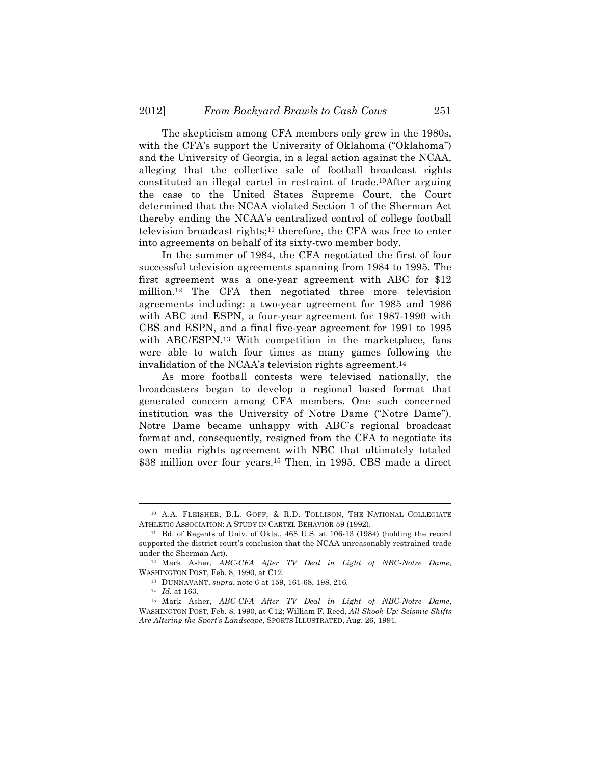The skepticism among CFA members only grew in the 1980s, with the CFA's support the University of Oklahoma ("Oklahoma") and the University of Georgia, in a legal action against the NCAA, alleging that the collective sale of football broadcast rights constituted an illegal cartel in restraint of trade.10After arguing the case to the United States Supreme Court, the Court determined that the NCAA violated Section 1 of the Sherman Act thereby ending the NCAA's centralized control of college football television broadcast rights;11 therefore, the CFA was free to enter into agreements on behalf of its sixty-two member body.

In the summer of 1984, the CFA negotiated the first of four successful television agreements spanning from 1984 to 1995. The first agreement was a one-year agreement with ABC for \$12 million.12 The CFA then negotiated three more television agreements including: a two-year agreement for 1985 and 1986 with ABC and ESPN, a four-year agreement for 1987-1990 with CBS and ESPN, and a final five-year agreement for 1991 to 1995 with ABC/ESPN.<sup>13</sup> With competition in the marketplace, fans were able to watch four times as many games following the invalidation of the NCAA's television rights agreement.14

As more football contests were televised nationally, the broadcasters began to develop a regional based format that generated concern among CFA members. One such concerned institution was the University of Notre Dame ("Notre Dame"). Notre Dame became unhappy with ABC's regional broadcast format and, consequently, resigned from the CFA to negotiate its own media rights agreement with NBC that ultimately totaled \$38 million over four years.15 Then, in 1995, CBS made a direct

<sup>!!!!!!!!!!!!!!!!!!!!!!!!!!!!!!!!!!!!!!!!!!!!!!!!!!!!!!!!!!!!!!!!!!!!!!!!!!!!!!!!!!!!!!!!!!!!!!!!!!!!!!!!!!!!!!!!!!!!!!!!!!!!!!!!!!!!!!!</sup> <sup>10</sup> A.A. FLEISHER, B.L. GOFF, & R.D. TOLLISON, THE NATIONAL COLLEGIATE ATHLETIC ASSOCIATION: A STUDY IN CARTEL BEHAVIOR 59 (1992).

<sup>11</sup> Bd. of Regents of Univ. of Okla., 468 U.S. at 106-13 (1984) (holding the record supported the district court's conclusion that the NCAA unreasonably restrained trade under the Sherman Act).

<sup>12</sup> Mark Asher, *ABC-CFA After TV Deal in Light of NBC-Notre Dame*, WASHINGTON POST, Feb. 8, 1990, at C12.

<sup>13</sup> DUNNAVANT, *supra*, note 6 at 159, 161-68, 198, 216*.*

<sup>14</sup> *Id.* at 163.

<sup>15</sup> Mark Asher, *ABC-CFA After TV Deal in Light of NBC-Notre Dame*, WASHINGTON POST, Feb. 8, 1990, at C12; William F. Reed, *All Shook Up: Seismic Shifts Are Altering the Sport's Landscape*, SPORTS ILLUSTRATED, Aug. 26, 1991.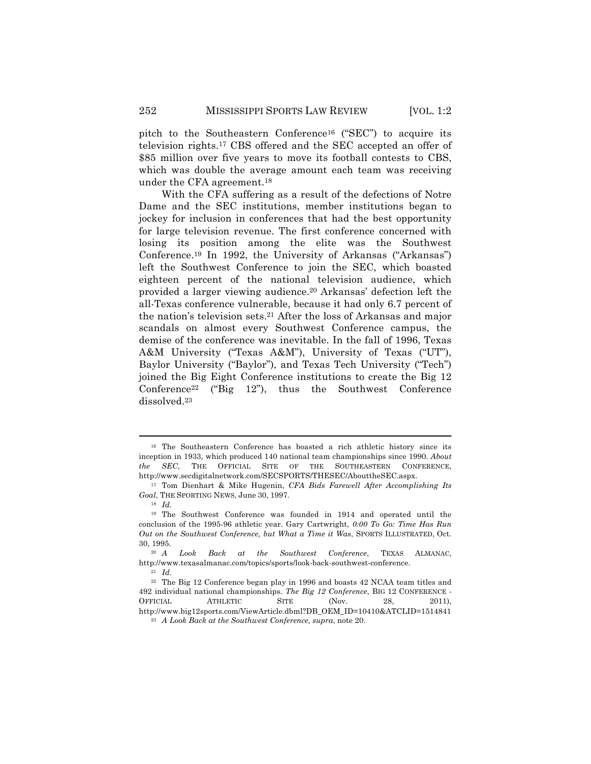pitch to the Southeastern Conference16 ("SEC") to acquire its television rights.17 CBS offered and the SEC accepted an offer of \$85 million over five years to move its football contests to CBS, which was double the average amount each team was receiving under the CFA agreement.18

With the CFA suffering as a result of the defections of Notre Dame and the SEC institutions, member institutions began to jockey for inclusion in conferences that had the best opportunity for large television revenue. The first conference concerned with losing its position among the elite was the Southwest Conference.19 In 1992, the University of Arkansas ("Arkansas") left the Southwest Conference to join the SEC, which boasted eighteen percent of the national television audience, which provided a larger viewing audience.20 Arkansas' defection left the all-Texas conference vulnerable, because it had only 6.7 percent of the nation's television sets.21 After the loss of Arkansas and major scandals on almost every Southwest Conference campus, the demise of the conference was inevitable. In the fall of 1996, Texas A&M University ("Texas A&M"), University of Texas ("UT"), Baylor University ("Baylor"), and Texas Tech University ("Tech") joined the Big Eight Conference institutions to create the Big 12 Conference<sup>22</sup> ("Big 12"), thus the Southwest Conference dissolved.23

<sup>16</sup> The Southeastern Conference has boasted a rich athletic history since its inception in 1933, which produced 140 national team championships since 1990. *About the SEC*, THE OFFICIAL SITE OF THE SOUTHEASTERN CONFERENCE, http://www.secdigitalnetwork.com/SECSPORTS/THESEC/AbouttheSEC.aspx.

<sup>17</sup> Tom Dienhart & Mike Hugenin, *CFA Bids Farewell After Accomplishing Its Goal*, THE SPORTING NEWS, June 30, 1997.

<sup>18</sup> *Id.*

<sup>19</sup> The Southwest Conference was founded in 1914 and operated until the conclusion of the 1995-96 athletic year. Gary Cartwright, *0:00 To Go: Time Has Run Out on the Southwest Conference, but What a Time it Was*, SPORTS ILLUSTRATED, Oct. 30, 1995.

<sup>20</sup> *A Look Back at the Southwest Conference*, TEXAS ALMANAC, http://www.texasalmanac.com/topics/sports/look-back-southwest-conference.

<sup>21</sup> *Id.*

<sup>22</sup> The Big 12 Conference began play in 1996 and boasts 42 NCAA team titles and 492 individual national championships. *The Big 12 Conference*, BIG 12 CONFERENCE - OFFICIAL ATHLETIC SITE (Nov. 28, 2011), http://www.big12sports.com/ViewArticle.dbml?DB\_OEM\_ID=10410&ATCLID=1514841

<sup>23</sup> *A Look Back at the Southwest Conference, supra*, note 20.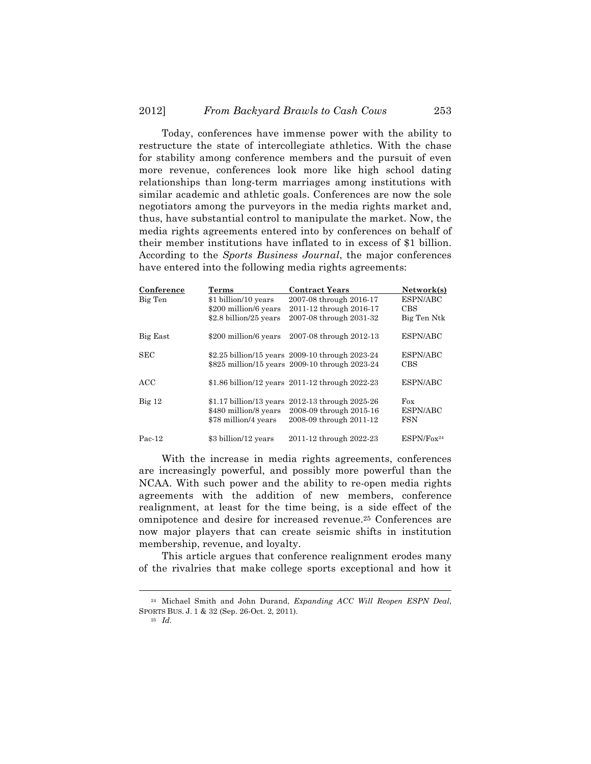Today, conferences have immense power with the ability to restructure the state of intercollegiate athletics. With the chase for stability among conference members and the pursuit of even more revenue, conferences look more like high school dating relationships than long-term marriages among institutions with similar academic and athletic goals. Conferences are now the sole negotiators among the purveyors in the media rights market and, thus, have substantial control to manipulate the market. Now, the media rights agreements entered into by conferences on behalf of their member institutions have inflated to in excess of \$1 billion. According to the *Sports Business Journal*, the major conferences have entered into the following media rights agreements:

| Conference | Terms                   | <b>Contract Years</b>                           | Network(s)             |
|------------|-------------------------|-------------------------------------------------|------------------------|
| Big Ten    | \$1 billion/10 years    | 2007-08 through 2016-17                         | ESPN/ABC               |
|            | \$200 million/6 years   | 2011-12 through 2016-17                         | <b>CBS</b>             |
|            | \$2.8 billion/25 years  | 2007-08 through 2031-32                         | Big Ten Ntk            |
| Big East   | \$200 million/6 years   | 2007-08 through 2012-13                         | ESPN/ABC               |
| <b>SEC</b> |                         | \$2.25 billion/15 years 2009-10 through 2023-24 | ESPN/ABC               |
|            |                         | \$825 million/15 years 2009-10 through 2023-24  | CBS                    |
| ACC.       |                         | \$1.86 billion/12 years 2011-12 through 2022-23 | ESPN/ABC               |
| $Big$ 12   | \$1.17 billion/13 years | 2012-13 through 2025-26                         | Fox                    |
|            | \$480 million/8 years   | 2008-09 through 2015-16                         | ESPN/ABC               |
|            | \$78 million/4 years    | 2008-09 through 2011-12                         | <b>FSN</b>             |
| $Pac-12$   | \$3 billion/12 years    | 2011-12 through 2022-23                         | ESPN/Fox <sup>24</sup> |

With the increase in media rights agreements, conferences are increasingly powerful, and possibly more powerful than the NCAA. With such power and the ability to re-open media rights agreements with the addition of new members, conference realignment, at least for the time being, is a side effect of the omnipotence and desire for increased revenue.25 Conferences are now major players that can create seismic shifts in institution membership, revenue, and loyalty.

This article argues that conference realignment erodes many of the rivalries that make college sports exceptional and how it

<sup>25</sup> *Id.*

<sup>!!!!!!!!!!!!!!!!!!!!!!!!!!!!!!!!!!!!!!!!!!!!!!!!!!!!!!!!!!!!!!!!!!!!!!!!!!!!!!!!!!!!!!!!!!!!!!!!!!!!!!!!!!!!!!!!!!!!!!!!!!!!!!!!!!!!!!!</sup> <sup>24</sup> Michael Smith and John Durand, *Expanding ACC Will Reopen ESPN Deal*, SPORTS BUS. J. 1 & 32 (Sep. 26-Oct. 2, 2011).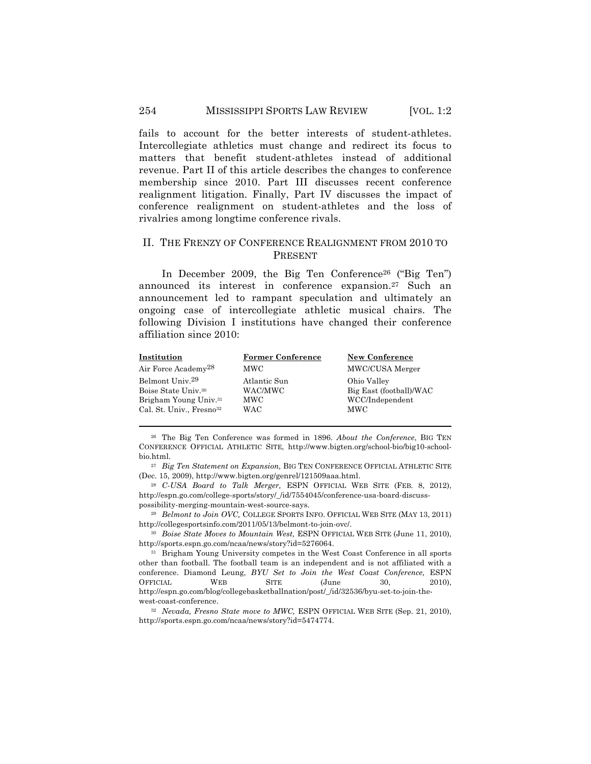### 254 MISSISSIPPI SPORTS LAW REVIEW [VOL. 1:2

fails to account for the better interests of student-athletes. Intercollegiate athletics must change and redirect its focus to matters that benefit student-athletes instead of additional revenue. Part II of this article describes the changes to conference membership since 2010. Part III discusses recent conference realignment litigation. Finally, Part IV discusses the impact of conference realignment on student-athletes and the loss of rivalries among longtime conference rivals.

### II. THE FRENZY OF CONFERENCE REALIGNMENT FROM 2010 TO PRESENT

In December 2009, the Big Ten Conference26 ("Big Ten") announced its interest in conference expansion.27 Such an announcement led to rampant speculation and ultimately an ongoing case of intercollegiate athletic musical chairs. The following Division I institutions have changed their conference affiliation since 2010:

| Institution                          | <b>Former Conference</b> | <b>New Conference</b>   |
|--------------------------------------|--------------------------|-------------------------|
| Air Force Academy <sup>28</sup>      | <b>MWC</b>               | MWC/CUSA Merger         |
| Belmont Univ. <sup>29</sup>          | Atlantic Sun             | Ohio Valley             |
| Boise State Univ. <sup>30</sup>      | WAC/MWC                  | Big East (football)/WAC |
| Brigham Young Univ. <sup>31</sup>    | <b>MWC</b>               | WCC/Independent         |
| Cal. St. Univ., Fresno <sup>32</sup> | WAC                      | <b>MWC</b>              |

<sup>26</sup> The Big Ten Conference was formed in 1896. *About the Conference*, BIG TEN CONFERENCE OFFICIAL ATHLETIC SITE, http://www.bigten.org/school-bio/big10-schoolbio.html.

!!!!!!!!!!!!!!!!!!!!!!!!!!!!!!!!!!!!!!!!!!!!!!!!!!!!!!!!!!!!!!!!!!!!!!!!!!!!!!!!!!!!!!!!!!!!!!!!!!!!!!!!!!!!!!!!!!!!!!!!!!!!!!!!!!!!!!!

<sup>27</sup> *Big Ten Statement on Expansion,* BIG TEN CONFERENCE OFFICIAL ATHLETIC SITE (Dec. 15, 2009), http://www.bigten.org/genrel/121509aaa.html.

<sup>28</sup> *C-USA Board to Talk Merger,* ESPN OFFICIAL WEB SITE (FEB. 8, 2012), http://espn.go.com/college-sports/story/\_/id/7554045/conference-usa-board-discusspossibility-merging-mountain-west-source-says.

<sup>29</sup> *Belmont to Join OVC,* COLLEGE SPORTS INFO. OFFICIAL WEB SITE (MAY 13, 2011) http://collegesportsinfo.com/2011/05/13/belmont-to-join-ovc/.

<sup>30</sup> *Boise State Moves to Mountain West,* ESPN OFFICIAL WEB SITE (June 11, 2010), http://sports.espn.go.com/ncaa/news/story?id=5276064.

<sup>31</sup> Brigham Young University competes in the West Coast Conference in all sports other than football. The football team is an independent and is not affiliated with a conference. Diamond Leung, *BYU Set to Join the West Coast Conference,* ESPN OFFICIAL WEB SITE (June 30, 2010), http://espn.go.com/blog/collegebasketballnation/post/\_/id/32536/byu-set-to-join-thewest-coast-conference.

<sup>32</sup> *Nevada, Fresno State move to MWC,* ESPN OFFICIAL WEB SITE (Sep. 21, 2010), http://sports.espn.go.com/ncaa/news/story?id=5474774.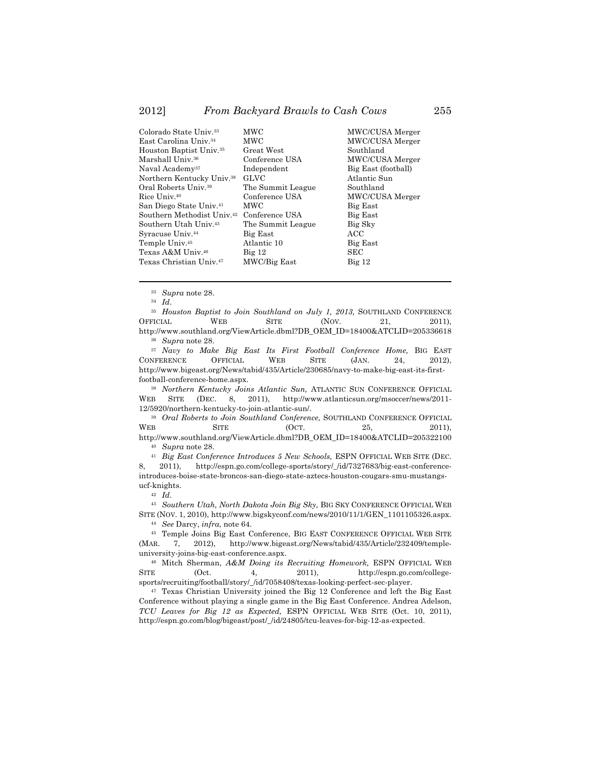| Colorado State Univ. <sup>33</sup>                    | <b>MWC</b>        | MWC/CUSA Merger     |
|-------------------------------------------------------|-------------------|---------------------|
| East Carolina Univ. <sup>34</sup>                     | MWC               | MWC/CUSA Merger     |
| Houston Baptist Univ. <sup>35</sup>                   | Great West        | Southland           |
| Marshall Univ.36                                      | Conference USA    | MWC/CUSA Merger     |
| Naval Academy <sup>37</sup>                           | Independent       | Big East (football) |
| Northern Kentucky Univ. <sup>38</sup>                 | <b>GLVC</b>       | Atlantic Sun        |
| Oral Roberts Univ. <sup>39</sup>                      | The Summit League | Southland           |
| Rice Univ. <sup>40</sup>                              | Conference USA    | MWC/CUSA Merger     |
| San Diego State Univ. <sup>41</sup>                   | <b>MWC</b>        | Big East            |
| Southern Methodist Univ. <sup>42</sup> Conference USA |                   | Big East            |
| Southern Utah Univ. <sup>43</sup>                     | The Summit League | Big Sky             |
| Syracuse Univ. <sup>44</sup>                          | Big East          | ACC                 |
| Temple Univ. <sup>45</sup>                            | Atlantic 10       | Big East            |
| Texas A&M Univ.46                                     | Big 12            | SEC                 |
| Texas Christian Univ.47                               | MWC/Big East      | $Big$ 12            |
|                                                       |                   |                     |

<sup>33</sup> *Supra* note 28.

<sup>34</sup> *Id*.

<sup>35</sup> *Houston Baptist to Join Southland on July 1, 2013, SOUTHLAND CONFERENCE* OFFICIAL WEB SITE (NOV. 21, 2011), http://www.southland.org/ViewArticle.dbml?DB\_OEM\_ID=18400&ATCLID=205336618

!!!!!!!!!!!!!!!!!!!!!!!!!!!!!!!!!!!!!!!!!!!!!!!!!!!!!!!!!!!!!!!!!!!!!!!!!!!!!!!!!!!!!!!!!!!!!!!!!!!!!!!!!!!!!!!!!!!!!!!!!!!!!!!!!!!!!!!

<sup>36</sup> *Supra* note 28.

<sup>37</sup> *Navy to Make Big East Its First Football Conference Home, BIG EAST* NFERENCE OFFICIAL WEB SITE (JAN. 24, 2012). CONFERENCE OFFICIAL WEB SITE (JAN. 24, 2012), http://www.bigeast.org/News/tabid/435/Article/230685/navy-to-make-big-east-its-firstfootball-conference-home.aspx.

<sup>38</sup> *Northern Kentucky Joins Atlantic Sun,* ATLANTIC SUN CONFERENCE OFFICIAL WEB SITE (DEC. 8, 2011), http://www.atlanticsun.org/msoccer/news/2011- 12/5920/northern-kentucky-to-join-atlantic-sun/.

<sup>39</sup> *Oral Roberts to Join Southland Conference,* SOUTHLAND CONFERENCE OFFICIAL  $WEB$  SITE  $(OCT. 25, 2011),$ http://www.southland.org/ViewArticle.dbml?DB\_OEM\_ID=18400&ATCLID=205322100

<sup>40</sup> *Supra* note 28.

<sup>41</sup> *Big East Conference Introduces 5 New Schools,* ESPN OFFICIAL WEB SITE (DEC.

8, 2011), http://espn.go.com/college-sports/story/\_/id/7327683/big-east-conferenceintroduces-boise-state-broncos-san-diego-state-aztecs-houston-cougars-smu-mustangsucf-knights.

<sup>42</sup> *Id*.

<sup>43</sup> *Southern Utah, North Dakota Join Big Sky,* BIG SKY CONFERENCE OFFICIAL WEB SITE (NOV. 1, 2010), http://www.bigskyconf.com/news/2010/11/1/GEN\_1101105326.aspx.

<sup>44</sup> *See* Darcy, *infra*, note 64.

<sup>45</sup> Temple Joins Big East Conference, BIG EAST CONFERENCE OFFICIAL WEB SITE (MAR. 7, 2012), http://www.bigeast.org/News/tabid/435/Article/232409/templeuniversity-joins-big-east-conference.aspx.

<sup>46</sup> Mitch Sherman, *A&M Doing its Recruiting Homework,* ESPN OFFICIAL WEB SITE (Oct. 4, 2011), http://espn.go.com/collegesports/recruiting/football/story/\_/id/7058408/texas-looking-perfect-sec-player.

<sup>47</sup> Texas Christian University joined the Big 12 Conference and left the Big East Conference without playing a single game in the Big East Conference. Andrea Adelson, *TCU Leaves for Big 12 as Expected,* ESPN OFFICIAL WEB SITE (Oct. 10, 2011), http://espn.go.com/blog/bigeast/post/\_/id/24805/tcu-leaves-for-big-12-as-expected.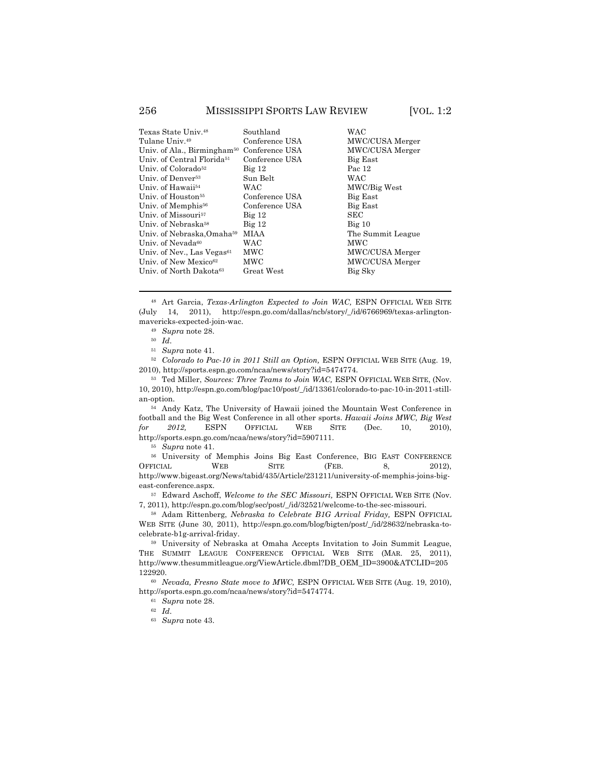| Texas State Univ.48                     | Southland      | <b>WAC</b>        |
|-----------------------------------------|----------------|-------------------|
| Tulane Univ.49                          | Conference USA | MWC/CUSA Merger   |
| Univ. of Ala., Birmingham <sup>50</sup> | Conference USA | MWC/CUSA Merger   |
| Univ. of Central Florida <sup>51</sup>  | Conference USA | Big East          |
| Univ. of Colorado <sup>52</sup>         | $Big$ 12       | Pac 12            |
| Univ. of Denver <sup>53</sup>           | Sun Belt       | <b>WAC</b>        |
| Univ. of Hawaii54                       | WAC            | MWC/Big West      |
| Univ. of Houston <sup>55</sup>          | Conference USA | Big East          |
| Univ. of Memphis <sup>56</sup>          | Conference USA | Big East          |
| Univ. of Missouri <sup>57</sup>         | $Big$ 12       | <b>SEC</b>        |
| Univ. of Nebraska58                     | $Big$ 12       | Big 10            |
| Univ. of Nebraska Omaha59               | MIAA           | The Summit League |
| Univ. of Nevada <sup>60</sup>           | <b>WAC</b>     | <b>MWC</b>        |
| Univ. of Nev., Las Vegas <sup>61</sup>  | MWC            | MWC/CUSA Merger   |
| Univ. of New Mexico <sup>62</sup>       | MWC            | MWC/CUSA Merger   |
| Univ. of North Dakota <sup>63</sup>     | Great West     | Big Sky           |
|                                         |                |                   |

<sup>48</sup> Art Garcia, *Texas-Arlington Expected to Join WAC,* ESPN OFFICIAL WEB SITE (July 14, 2011), http://espn.go.com/dallas/ncb/story/\_/id/6766969/texas-arlingtonmavericks-expected-join-wac.

!!!!!!!!!!!!!!!!!!!!!!!!!!!!!!!!!!!!!!!!!!!!!!!!!!!!!!!!!!!!!!!!!!!!!!!!!!!!!!!!!!!!!!!!!!!!!!!!!!!!!!!!!!!!!!!!!!!!!!!!!!!!!!!!!!!!!!!

<sup>49</sup> *Supra* note 28.

<sup>50</sup> *Id*.

<sup>51</sup> *Supra* note 41.

<sup>52</sup> *Colorado to Pac-10 in 2011 Still an Option,* ESPN OFFICIAL WEB SITE (Aug. 19, 2010), http://sports.espn.go.com/ncaa/news/story?id=5474774.

<sup>53</sup> Ted Miller, *Sources: Three Teams to Join WAC,* ESPN OFFICIAL WEB SITE, (Nov. 10, 2010), http://espn.go.com/blog/pac10/post/\_/id/13361/colorado-to-pac-10-in-2011-stillan-option.

<sup>54</sup> Andy Katz, The University of Hawaii joined the Mountain West Conference in football and the Big West Conference in all other sports. *Hawaii Joins MWC, Big West for 2012,* ESPN OFFICIAL WEB SITE (Dec. 10, 2010), http://sports.espn.go.com/ncaa/news/story?id=5907111.

<sup>55</sup> *Supra* note 41.

<sup>56</sup> University of Memphis Joins Big East Conference, BIG EAST CONFERENCE OFFICIAL WEB SITE (FEB. 8, 2012), http://www.bigeast.org/News/tabid/435/Article/231211/university-of-memphis-joins-bigeast-conference.aspx.

<sup>57</sup> Edward Aschoff, *Welcome to the SEC Missouri,* ESPN OFFICIAL WEB SITE (Nov. 7, 2011), http://espn.go.com/blog/sec/post/\_/id/32521/welcome-to-the-sec-missouri.

<sup>58</sup> Adam Rittenberg, *Nebraska to Celebrate B1G Arrival Friday,* ESPN OFFICIAL WEB SITE (June 30, 2011), http://espn.go.com/blog/bigten/post/\_/id/28632/nebraska-tocelebrate-b1g-arrival-friday.

<sup>59</sup> University of Nebraska at Omaha Accepts Invitation to Join Summit League, THE SUMMIT LEAGUE CONFERENCE OFFICIAL WEB SITE (MAR. 25, 2011), http://www.thesummitleague.org/ViewArticle.dbml?DB\_OEM\_ID=3900&ATCLID=205 122920.

<sup>60</sup> *Nevada, Fresno State move to MWC,* ESPN OFFICIAL WEB SITE (Aug. 19, 2010), http://sports.espn.go.com/ncaa/news/story?id=5474774.

<sup>61</sup> *Supra* note 28.

<sup>62</sup> *Id*.

<sup>63</sup> *Supra* note 43.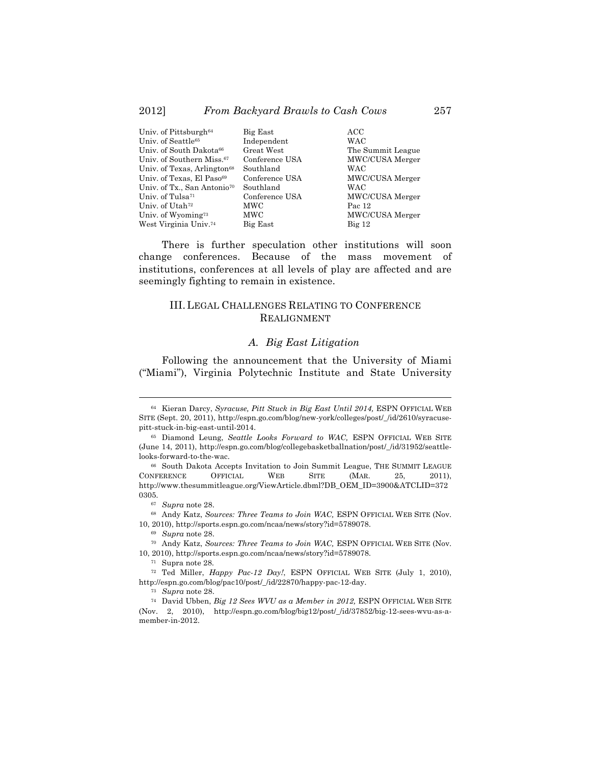| Big East       | ACC               |
|----------------|-------------------|
| Independent    | <b>WAC</b>        |
| Great West     | The Summit League |
| Conference USA | MWC/CUSA Merger   |
| Southland      | <b>WAC</b>        |
| Conference USA | MWC/CUSA Merger   |
| Southland      | WAC               |
| Conference USA | MWC/CUSA Merger   |
| MWC            | Pac 12            |
| MWC            | MWC/CUSA Merger   |
| Big East       | $Big$ 12          |
|                |                   |

There is further speculation other institutions will soon change conferences. Because of the mass movement of institutions, conferences at all levels of play are affected and are seemingly fighting to remain in existence.

#### III.LEGAL CHALLENGES RELATING TO CONFERENCE REALIGNMENT

#### *A. Big East Litigation*

Following the announcement that the University of Miami ("Miami"), Virginia Polytechnic Institute and State University

<sup>64</sup> Kieran Darcy, *Syracuse, Pitt Stuck in Big East Until 2014,* ESPN OFFICIAL WEB SITE (Sept. 20, 2011), http://espn.go.com/blog/new-york/colleges/post/\_/id/2610/syracusepitt-stuck-in-big-east-until-2014.

<sup>65</sup> Diamond Leung, *Seattle Looks Forward to WAC,* ESPN OFFICIAL WEB SITE (June 14, 2011), http://espn.go.com/blog/collegebasketballnation/post/\_/id/31952/seattlelooks-forward-to-the-wac.

<sup>66</sup> South Dakota Accepts Invitation to Join Summit League, THE SUMMIT LEAGUE CONFERENCE OFFICIAL WEB SITE (MAR. 25, 2011), http://www.thesummitleague.org/ViewArticle.dbml?DB\_OEM\_ID=3900&ATCLID=372 0305.

<sup>67</sup> *Supra* note 28.

<sup>68</sup> Andy Katz, *Sources: Three Teams to Join WAC,* ESPN OFFICIAL WEB SITE (Nov. 10, 2010), http://sports.espn.go.com/ncaa/news/story?id=5789078.

<sup>69</sup> *Supra* note 28.

<sup>70</sup> Andy Katz, *Sources: Three Teams to Join WAC,* ESPN OFFICIAL WEB SITE (Nov. 10, 2010), http://sports.espn.go.com/ncaa/news/story?id=5789078.

<sup>71</sup> Supra note 28.

<sup>72</sup> Ted Miller, *Happy Pac-12 Day!*, ESPN OFFICIAL WEB SITE (July 1, 2010), http://espn.go.com/blog/pac10/post/\_/id/22870/happy-pac-12-day.

<sup>73</sup> *Supra* note 28.

<sup>74</sup> David Ubben, *Big 12 Sees WVU as a Member in 2012,* ESPN OFFICIAL WEB SITE (Nov. 2, 2010), http://espn.go.com/blog/big12/post/\_/id/37852/big-12-sees-wvu-as-amember-in-2012.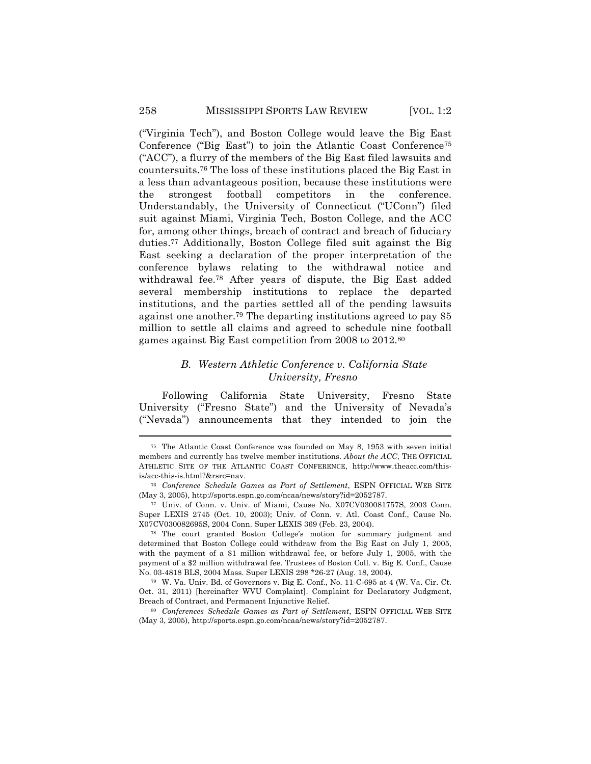("Virginia Tech"), and Boston College would leave the Big East Conference ("Big East") to join the Atlantic Coast Conference75 ("ACC"), a flurry of the members of the Big East filed lawsuits and countersuits.76 The loss of these institutions placed the Big East in a less than advantageous position, because these institutions were the strongest football competitors in the conference. Understandably, the University of Connecticut ("UConn") filed suit against Miami, Virginia Tech, Boston College, and the ACC for, among other things, breach of contract and breach of fiduciary duties.77 Additionally, Boston College filed suit against the Big East seeking a declaration of the proper interpretation of the conference bylaws relating to the withdrawal notice and withdrawal fee.78 After years of dispute, the Big East added several membership institutions to replace the departed institutions, and the parties settled all of the pending lawsuits against one another.79 The departing institutions agreed to pay \$5 million to settle all claims and agreed to schedule nine football games against Big East competition from 2008 to 2012.80

# *B. Western Athletic Conference v. California State University, Fresno*

Following California State University, Fresno State University ("Fresno State") and the University of Nevada's ("Nevada") announcements that they intended to join the

<sup>75</sup> The Atlantic Coast Conference was founded on May 8, 1953 with seven initial members and currently has twelve member institutions. *About the ACC*, THE OFFICIAL ATHLETIC SITE OF THE ATLANTIC COAST CONFERENCE, http://www.theacc.com/thisis/acc-this-is.html?&rsrc=nav.

<sup>76</sup> *Conference Schedule Games as Part of Settlement*, ESPN OFFICIAL WEB SITE (May 3, 2005), http://sports.espn.go.com/ncaa/news/story?id=2052787.

<sup>77</sup> Univ. of Conn. v. Univ. of Miami, Cause No. X07CV030081757S, 2003 Conn. Super LEXIS 2745 (Oct. 10, 2003); Univ. of Conn. v. Atl. Coast Conf., Cause No. X07CV030082695S, 2004 Conn. Super LEXIS 369 (Feb. 23, 2004).

<sup>78</sup> The court granted Boston College's motion for summary judgment and determined that Boston College could withdraw from the Big East on July 1, 2005, with the payment of a \$1 million withdrawal fee, or before July 1, 2005, with the payment of a \$2 million withdrawal fee. Trustees of Boston Coll. v. Big E. Conf., Cause No. 03-4818 BLS, 2004 Mass. Super LEXIS 298 \*26-27 (Aug. 18, 2004).

<sup>79</sup> W. Va. Univ. Bd. of Governors v. Big E. Conf., No. 11-C-695 at 4 (W. Va. Cir. Ct. Oct. 31, 2011) [hereinafter WVU Complaint]. Complaint for Declaratory Judgment, Breach of Contract, and Permanent Injunctive Relief.

<sup>80</sup> *Conferences Schedule Games as Part of Settlement*, ESPN OFFICIAL WEB SITE (May 3, 2005), http://sports.espn.go.com/ncaa/news/story?id=2052787.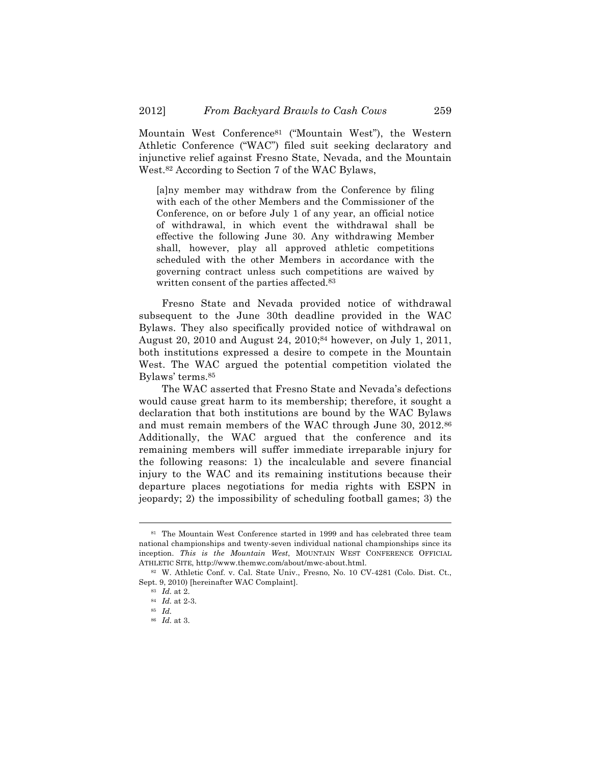Mountain West Conference81 ("Mountain West"), the Western Athletic Conference ("WAC") filed suit seeking declaratory and injunctive relief against Fresno State, Nevada, and the Mountain West.82 According to Section 7 of the WAC Bylaws,

[a]ny member may withdraw from the Conference by filing with each of the other Members and the Commissioner of the Conference, on or before July 1 of any year, an official notice of withdrawal, in which event the withdrawal shall be effective the following June 30. Any withdrawing Member shall, however, play all approved athletic competitions scheduled with the other Members in accordance with the governing contract unless such competitions are waived by written consent of the parties affected.83

Fresno State and Nevada provided notice of withdrawal subsequent to the June 30th deadline provided in the WAC Bylaws. They also specifically provided notice of withdrawal on August 20, 2010 and August 24, 2010;84 however, on July 1, 2011, both institutions expressed a desire to compete in the Mountain West. The WAC argued the potential competition violated the Bylaws' terms.85

The WAC asserted that Fresno State and Nevada's defections would cause great harm to its membership; therefore, it sought a declaration that both institutions are bound by the WAC Bylaws and must remain members of the WAC through June 30, 2012.86 Additionally, the WAC argued that the conference and its remaining members will suffer immediate irreparable injury for the following reasons: 1) the incalculable and severe financial injury to the WAC and its remaining institutions because their departure places negotiations for media rights with ESPN in jeopardy; 2) the impossibility of scheduling football games; 3) the

<sup>81</sup> The Mountain West Conference started in 1999 and has celebrated three team national championships and twenty-seven individual national championships since its inception. *This is the Mountain West*, MOUNTAIN WEST CONFERENCE OFFICIAL ATHLETIC SITE, http://www.themwc.com/about/mwc-about.html.

<sup>82</sup> W. Athletic Conf. v. Cal. State Univ., Fresno, No. 10 CV-4281 (Colo. Dist. Ct., Sept. 9, 2010) [hereinafter WAC Complaint].

<sup>83</sup> *Id.* at 2.

<sup>84</sup> *Id.* at 2-3.

<sup>85</sup> *Id.*

<sup>86</sup> *Id.* at 3.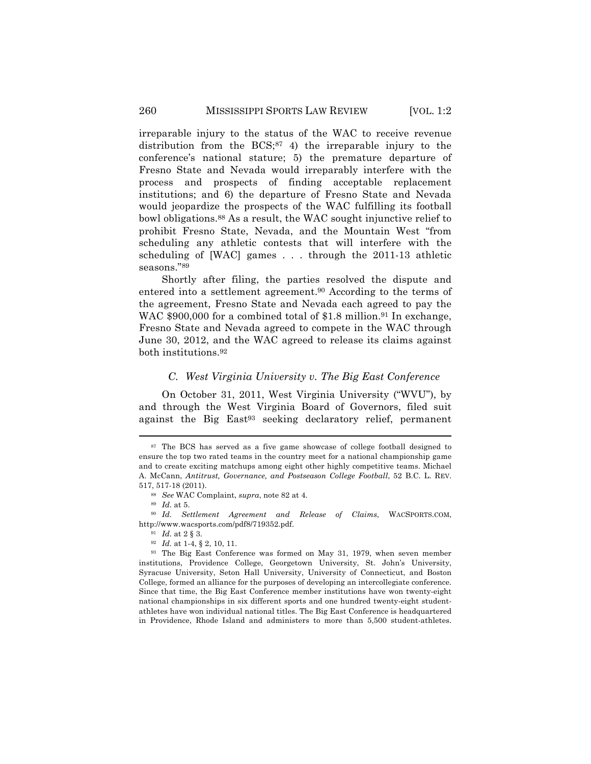irreparable injury to the status of the WAC to receive revenue distribution from the  $BCS$ ;<sup>87</sup> 4) the irreparable injury to the conference's national stature; 5) the premature departure of Fresno State and Nevada would irreparably interfere with the process and prospects of finding acceptable replacement institutions; and 6) the departure of Fresno State and Nevada would jeopardize the prospects of the WAC fulfilling its football bowl obligations.88 As a result, the WAC sought injunctive relief to prohibit Fresno State, Nevada, and the Mountain West "from scheduling any athletic contests that will interfere with the scheduling of [WAC] games . . . through the 2011-13 athletic seasons."89

Shortly after filing, the parties resolved the dispute and entered into a settlement agreement.90 According to the terms of the agreement, Fresno State and Nevada each agreed to pay the WAC \$900,000 for a combined total of \$1.8 million.<sup>91</sup> In exchange, Fresno State and Nevada agreed to compete in the WAC through June 30, 2012, and the WAC agreed to release its claims against both institutions.92

# *C. West Virginia University v. The Big East Conference*

On October 31, 2011, West Virginia University ("WVU"), by and through the West Virginia Board of Governors, filed suit against the Big East<sup>93</sup> seeking declaratory relief, permanent

<sup>87</sup> The BCS has served as a five game showcase of college football designed to ensure the top two rated teams in the country meet for a national championship game and to create exciting matchups among eight other highly competitive teams. Michael A. McCann, *Antitrust, Governance, and Postseason College Football*, 52 B.C. L. REV. 517, 517-18 (2011).

<sup>88</sup> *See* WAC Complaint, *supra*, note 82 at 4.

<sup>89</sup> *Id.* at 5.

<sup>90</sup> *Id. Settlement Agreement and Release of Claims*, WACSPORTS.COM, http://www.wacsports.com/pdf8/719352.pdf.

<sup>91</sup> *Id.* at 2 § 3.

<sup>92</sup> *Id.* at 1-4, § 2, 10, 11.

<sup>93</sup> The Big East Conference was formed on May 31, 1979, when seven member institutions, Providence College, Georgetown University, St. John's University, Syracuse University, Seton Hall University, University of Connecticut, and Boston College, formed an alliance for the purposes of developing an intercollegiate conference. Since that time, the Big East Conference member institutions have won twenty-eight national championships in six different sports and one hundred twenty-eight studentathletes have won individual national titles. The Big East Conference is headquartered in Providence, Rhode Island and administers to more than 5,500 student-athletes.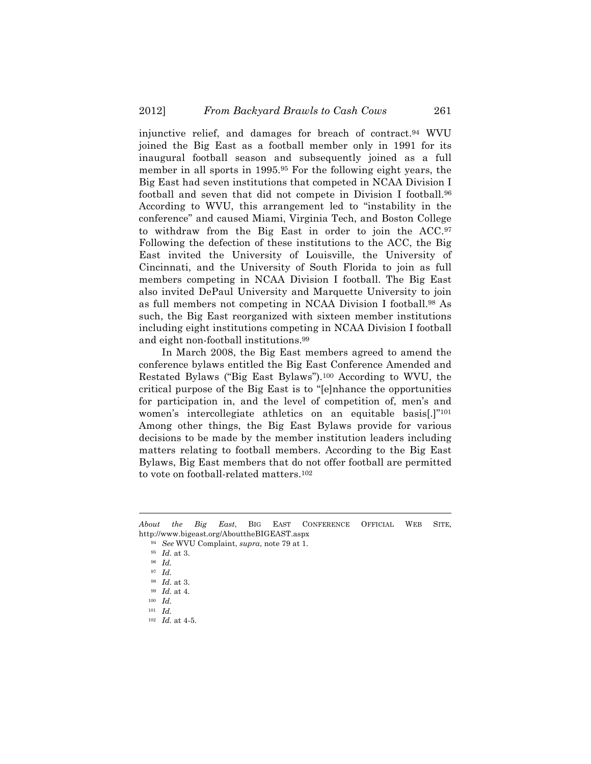injunctive relief, and damages for breach of contract.94 WVU joined the Big East as a football member only in 1991 for its inaugural football season and subsequently joined as a full member in all sports in 1995.95 For the following eight years, the Big East had seven institutions that competed in NCAA Division I football and seven that did not compete in Division I football.96 According to WVU, this arrangement led to "instability in the conference" and caused Miami, Virginia Tech, and Boston College to withdraw from the Big East in order to join the ACC.97 Following the defection of these institutions to the ACC, the Big East invited the University of Louisville, the University of Cincinnati, and the University of South Florida to join as full members competing in NCAA Division I football. The Big East also invited DePaul University and Marquette University to join as full members not competing in NCAA Division I football.98 As such, the Big East reorganized with sixteen member institutions including eight institutions competing in NCAA Division I football and eight non-football institutions.99

In March 2008, the Big East members agreed to amend the conference bylaws entitled the Big East Conference Amended and Restated Bylaws ("Big East Bylaws").100 According to WVU, the critical purpose of the Big East is to "[e]nhance the opportunities for participation in, and the level of competition of, men's and women's intercollegiate athletics on an equitable basis[.]"101 Among other things, the Big East Bylaws provide for various decisions to be made by the member institution leaders including matters relating to football members. According to the Big East Bylaws, Big East members that do not offer football are permitted to vote on football-related matters.102

<sup>!!!!!!!!!!!!!!!!!!!!!!!!!!!!!!!!!!!!!!!!!!!!!!!!!!!!!!!!!!!!!!!!!!!!!!!!!!!!!!!!!!!!!!!!!!!!!!!!!!!!!!!!!!!!!!!!!!!!!!!!!!!!!!!!!!!!!!!</sup> *About the Big East*, BIG EAST CONFERENCE OFFICIAL WEB SITE, http://www.bigeast.org/AbouttheBIGEAST.aspx

<sup>94</sup> *See* WVU Complaint, *supra*, note 79 at 1.

<sup>95</sup> *Id.* at 3.

<sup>96</sup> *Id.*

<sup>97</sup> *Id.*

<sup>98</sup> *Id.* at 3.

<sup>99</sup> *Id.* at 4.

<sup>100</sup> *Id.*

<sup>101</sup> *Id.*

<sup>102</sup> *Id.* at 4-5.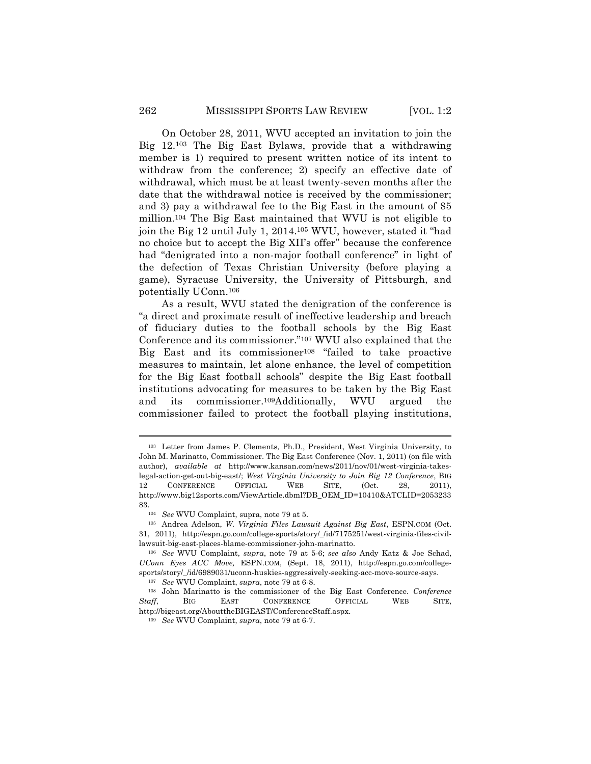On October 28, 2011, WVU accepted an invitation to join the Big 12.103 The Big East Bylaws, provide that a withdrawing member is 1) required to present written notice of its intent to withdraw from the conference; 2) specify an effective date of withdrawal, which must be at least twenty-seven months after the date that the withdrawal notice is received by the commissioner; and 3) pay a withdrawal fee to the Big East in the amount of \$5 million.104 The Big East maintained that WVU is not eligible to join the Big 12 until July 1, 2014.105 WVU, however, stated it "had no choice but to accept the Big XII's offer" because the conference had "denigrated into a non-major football conference" in light of the defection of Texas Christian University (before playing a game), Syracuse University, the University of Pittsburgh, and potentially UConn.106

As a result, WVU stated the denigration of the conference is "a direct and proximate result of ineffective leadership and breach of fiduciary duties to the football schools by the Big East Conference and its commissioner."107 WVU also explained that the Big East and its commissioner<sup>108</sup> "failed to take proactive measures to maintain, let alone enhance, the level of competition for the Big East football schools" despite the Big East football institutions advocating for measures to be taken by the Big East and its commissioner.109Additionally, WVU argued the commissioner failed to protect the football playing institutions,

<sup>103</sup> Letter from James P. Clements, Ph.D., President, West Virginia University, to John M. Marinatto, Commissioner. The Big East Conference (Nov. 1, 2011) (on file with author), *available at* http://www.kansan.com/news/2011/nov/01/west-virginia-takeslegal-action-get-out-big-east/; *West Virginia University to Join Big 12 Conference*, BIG 12 CONFERENCE OFFICIAL WEB SITE, (Oct. 28, 2011), http://www.big12sports.com/ViewArticle.dbml?DB\_OEM\_ID=10410&ATCLID=2053233 83.

<sup>104</sup> *See* WVU Complaint, supra, note 79 at 5.

<sup>105</sup> Andrea Adelson, *W. Virginia Files Lawsuit Against Big East*, ESPN.COM (Oct. 31, 2011), http://espn.go.com/college-sports/story/\_/id/7175251/west-virginia-files-civillawsuit-big-east-places-blame-commissioner-john-marinatto.

<sup>106</sup> *See* WVU Complaint, *supra*, note 79 at 5-6; *see also* Andy Katz & Joe Schad, *UConn Eyes ACC Move,* ESPN.COM, (Sept. 18, 2011), http://espn.go.com/collegesports/story/\_/id/6989031/uconn-huskies-aggressively-seeking-acc-move-source-says.

<sup>107</sup> *See* WVU Complaint, *supra*, note 79 at 6-8.

<sup>108</sup> John Marinatto is the commissioner of the Big East Conference. *Conference Staff*, BIG EAST CONFERENCE OFFICIAL WEB SITE, http://bigeast.org/AbouttheBIGEAST/ConferenceStaff.aspx.

<sup>109</sup> *See* WVU Complaint, *supra*, note 79 at 6-7.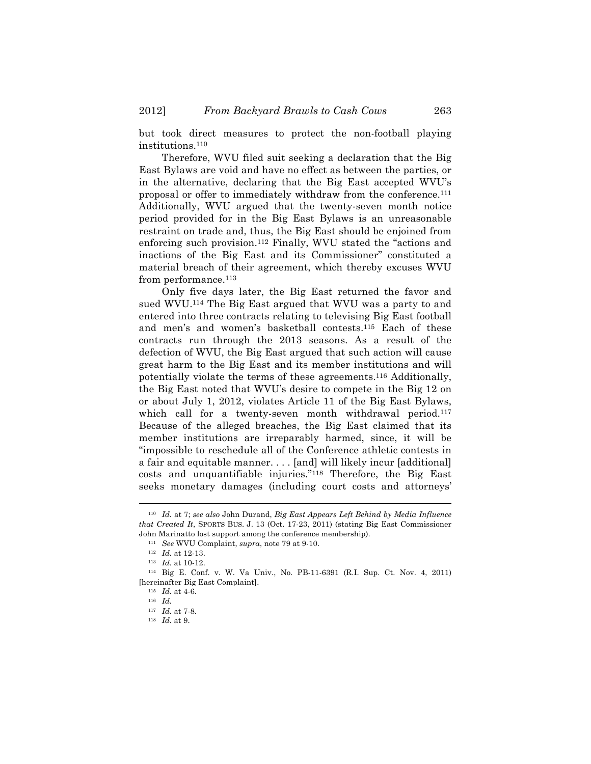but took direct measures to protect the non-football playing institutions.110

Therefore, WVU filed suit seeking a declaration that the Big East Bylaws are void and have no effect as between the parties, or in the alternative, declaring that the Big East accepted WVU's proposal or offer to immediately withdraw from the conference.111 Additionally, WVU argued that the twenty-seven month notice period provided for in the Big East Bylaws is an unreasonable restraint on trade and, thus, the Big East should be enjoined from enforcing such provision.112 Finally, WVU stated the "actions and inactions of the Big East and its Commissioner" constituted a material breach of their agreement, which thereby excuses WVU from performance.113

Only five days later, the Big East returned the favor and sued WVU.114 The Big East argued that WVU was a party to and entered into three contracts relating to televising Big East football and men's and women's basketball contests.115 Each of these contracts run through the 2013 seasons. As a result of the defection of WVU, the Big East argued that such action will cause great harm to the Big East and its member institutions and will potentially violate the terms of these agreements.116 Additionally, the Big East noted that WVU's desire to compete in the Big 12 on or about July 1, 2012, violates Article 11 of the Big East Bylaws, which call for a twenty-seven month withdrawal period.<sup>117</sup> Because of the alleged breaches, the Big East claimed that its member institutions are irreparably harmed, since, it will be "impossible to reschedule all of the Conference athletic contests in a fair and equitable manner. . . . [and] will likely incur [additional] costs and unquantifiable injuries."118 Therefore, the Big East seeks monetary damages (including court costs and attorneys'

<sup>110</sup> *Id.* at 7; *see also* John Durand, *Big East Appears Left Behind by Media Influence that Created It*, SPORTS BUS. J. 13 (Oct. 17-23, 2011) (stating Big East Commissioner John Marinatto lost support among the conference membership).

<sup>111</sup> *See* WVU Complaint, *supra*, note 79 at 9-10.

<sup>112</sup> *Id.* at 12-13.

<sup>113</sup> *Id.* at 10-12.

<sup>114</sup> Big E. Conf. v. W. Va Univ., No. PB-11-6391 (R.I. Sup. Ct. Nov. 4, 2011) [hereinafter Big East Complaint].

<sup>115</sup> *Id.* at 4-6.

<sup>116</sup> *Id.*

<sup>117</sup> *Id.* at 7-8.

<sup>118</sup> *Id.* at 9.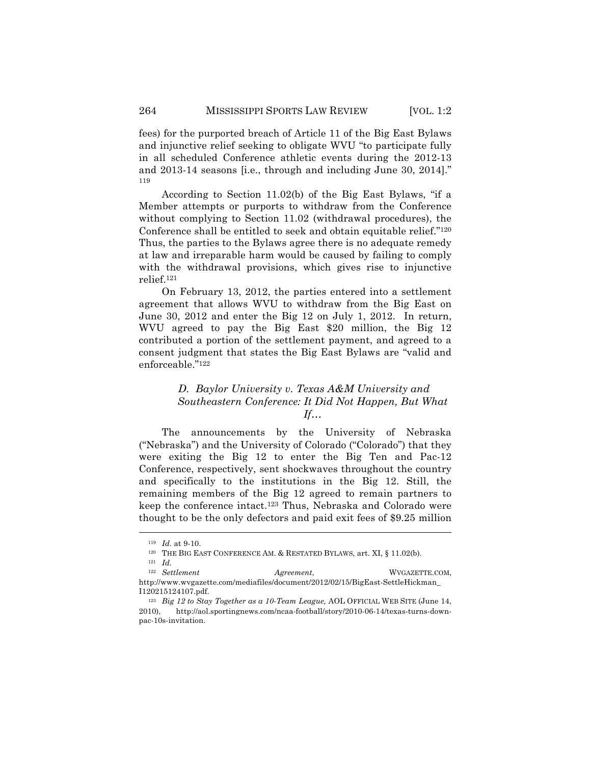fees) for the purported breach of Article 11 of the Big East Bylaws and injunctive relief seeking to obligate WVU "to participate fully in all scheduled Conference athletic events during the 2012-13 and 2013-14 seasons [i.e., through and including June 30, 2014]." 119

According to Section 11.02(b) of the Big East Bylaws, "if a Member attempts or purports to withdraw from the Conference without complying to Section 11.02 (withdrawal procedures), the Conference shall be entitled to seek and obtain equitable relief."120 Thus, the parties to the Bylaws agree there is no adequate remedy at law and irreparable harm would be caused by failing to comply with the withdrawal provisions, which gives rise to injunctive relief.121

On February 13, 2012, the parties entered into a settlement agreement that allows WVU to withdraw from the Big East on June 30, 2012 and enter the Big 12 on July 1, 2012. In return, WVU agreed to pay the Big East \$20 million, the Big 12 contributed a portion of the settlement payment, and agreed to a consent judgment that states the Big East Bylaws are "valid and enforceable."122

# *D. Baylor University v. Texas A&M University and Southeastern Conference: It Did Not Happen, But What If…*

The announcements by the University of Nebraska ("Nebraska") and the University of Colorado ("Colorado") that they were exiting the Big 12 to enter the Big Ten and Pac-12 Conference, respectively, sent shockwaves throughout the country and specifically to the institutions in the Big 12. Still, the remaining members of the Big 12 agreed to remain partners to keep the conference intact.123 Thus, Nebraska and Colorado were thought to be the only defectors and paid exit fees of \$9.25 million

<sup>119</sup> *Id.* at 9-10.

<sup>&</sup>lt;sup>120</sup> THE BIG EAST CONFERENCE AM. & RESTATED BYLAWS, art. XI, § 11.02(b).

<sup>121</sup> *Id.*

 <sup>122</sup> *Settlement Agreement*, WVGAZETTE.COM, http://www.wvgazette.com/mediafiles/document/2012/02/15/BigEast-SettleHickman\_ I120215124107.pdf.

<sup>123</sup> *Big 12 to Stay Together as a 10-Team League,* AOL OFFICIAL WEB SITE (June 14, 2010), http://aol.sportingnews.com/ncaa-football/story/2010-06-14/texas-turns-downpac-10s-invitation.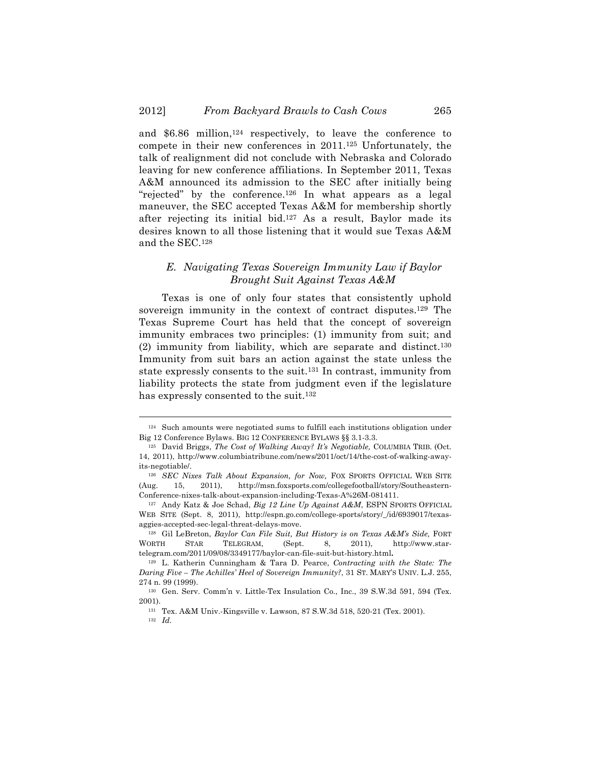and \$6.86 million,124 respectively, to leave the conference to compete in their new conferences in 2011.125 Unfortunately, the talk of realignment did not conclude with Nebraska and Colorado leaving for new conference affiliations. In September 2011, Texas A&M announced its admission to the SEC after initially being "rejected" by the conference.126 In what appears as a legal maneuver, the SEC accepted Texas A&M for membership shortly after rejecting its initial bid.127 As a result, Baylor made its desires known to all those listening that it would sue Texas A&M and the SEC.128

# *E. Navigating Texas Sovereign Immunity Law if Baylor Brought Suit Against Texas A&M*

Texas is one of only four states that consistently uphold sovereign immunity in the context of contract disputes.129 The Texas Supreme Court has held that the concept of sovereign immunity embraces two principles: (1) immunity from suit; and  $(2)$  immunity from liability, which are separate and distinct.<sup>130</sup> Immunity from suit bars an action against the state unless the state expressly consents to the suit.131 In contrast, immunity from liability protects the state from judgment even if the legislature has expressly consented to the suit.<sup>132</sup>

<sup>!!!!!!!!!!!!!!!!!!!!!!!!!!!!!!!!!!!!!!!!!!!!!!!!!!!!!!!!!!!!!!!!!!!!!!!!!!!!!!!!!!!!!!!!!!!!!!!!!!!!!!!!!!!!!!!!!!!!!!!!!!!!!!!!!!!!!!!</sup> <sup>124</sup> Such amounts were negotiated sums to fulfill each institutions obligation under Big 12 Conference Bylaws. BIG 12 CONFERENCE BYLAWS §§ 3.1-3.3.

<sup>125</sup> David Briggs, *The Cost of Walking Away? It's Negotiable,* COLUMBIA TRIB. (Oct. 14, 2011), http://www.columbiatribune.com/news/2011/oct/14/the-cost-of-walking-awayits-negotiable/.

<sup>126</sup> *SEC Nixes Talk About Expansion, for Now,* FOX SPORTS OFFICIAL WEB SITE (Aug. 15, 2011), http://msn.foxsports.com/collegefootball/story/Southeastern-Conference-nixes-talk-about-expansion-including-Texas-A%26M-081411.

<sup>127</sup> Andy Katz & Joe Schad, *Big 12 Line Up Against A&M*, ESPN SPORTS OFFICIAL WEB SITE (Sept. 8, 2011), http://espn.go.com/college-sports/story/\_/id/6939017/texasaggies-accepted-sec-legal-threat-delays-move.

<sup>128</sup> Gil LeBreton, *Baylor Can File Suit, But History is on Texas A&M's Side,* FORT WORTH STAR TELEGRAM, (Sept. 8, 2011), http://www.startelegram.com/2011/09/08/3349177/baylor-can-file-suit-but-history.html**.**

<sup>129</sup> L. Katherin Cunningham & Tara D. Pearce, *Contracting with the State: The Daring Five – The Achilles' Heel of Sovereign Immunity?*, 31 ST. MARY'S UNIV. L.J. 255, 274 n. 99 (1999).

<sup>130</sup> Gen. Serv. Comm'n v. Little-Tex Insulation Co., Inc., 39 S.W.3d 591, 594 (Tex. 2001).

<sup>131</sup> Tex. A&M Univ.-Kingsville v. Lawson, 87 S.W.3d 518, 520-21 (Tex. 2001).

<sup>132</sup> *Id.*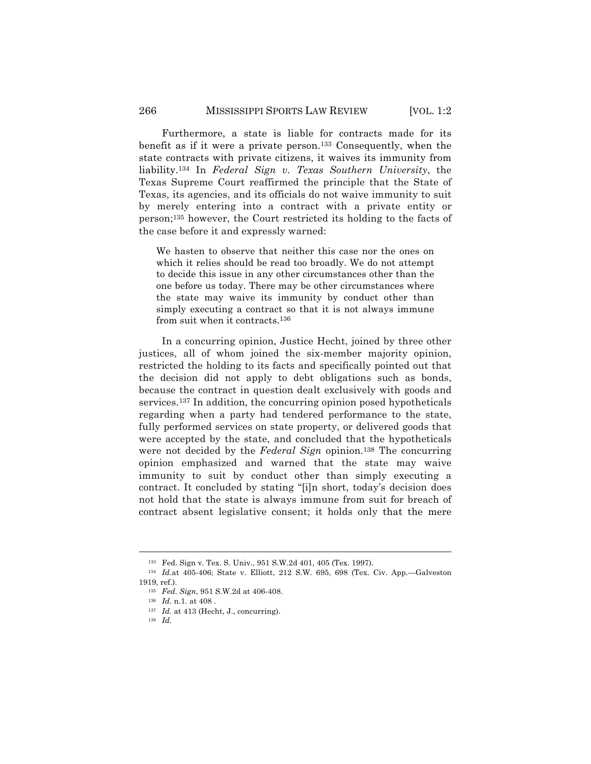Furthermore, a state is liable for contracts made for its benefit as if it were a private person.133 Consequently, when the state contracts with private citizens, it waives its immunity from liability.134 In *Federal Sign v. Texas Southern University*, the Texas Supreme Court reaffirmed the principle that the State of Texas, its agencies, and its officials do not waive immunity to suit by merely entering into a contract with a private entity or person;135 however, the Court restricted its holding to the facts of the case before it and expressly warned:

We hasten to observe that neither this case nor the ones on which it relies should be read too broadly. We do not attempt to decide this issue in any other circumstances other than the one before us today. There may be other circumstances where the state may waive its immunity by conduct other than simply executing a contract so that it is not always immune from suit when it contracts.136

In a concurring opinion, Justice Hecht, joined by three other justices, all of whom joined the six-member majority opinion, restricted the holding to its facts and specifically pointed out that the decision did not apply to debt obligations such as bonds, because the contract in question dealt exclusively with goods and services.<sup>137</sup> In addition, the concurring opinion posed hypotheticals regarding when a party had tendered performance to the state, fully performed services on state property, or delivered goods that were accepted by the state, and concluded that the hypotheticals were not decided by the *Federal Sign* opinion.138 The concurring opinion emphasized and warned that the state may waive immunity to suit by conduct other than simply executing a contract. It concluded by stating "[i]n short, today's decision does not hold that the state is always immune from suit for breach of contract absent legislative consent; it holds only that the mere

<sup>133</sup> Fed. Sign v. Tex. S. Univ., 951 S.W.2d 401, 405 (Tex. 1997).

<sup>134</sup> *Id.*at 405-406; State v. Elliott, 212 S.W. 695, 698 (Tex. Civ. App.—Galveston  $1919$  ref).

<sup>135</sup> *Fed. Sign*, 951 S.W.2d at 406-408.

<sup>136</sup> *Id.* n.1. at 408 .

<sup>137</sup> *Id.* at 413 (Hecht, J., concurring).

<sup>138</sup> *Id.*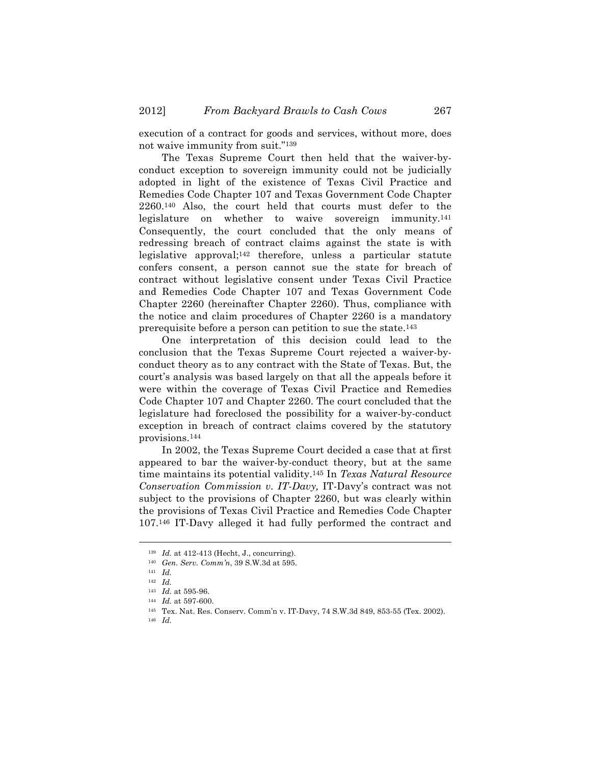execution of a contract for goods and services, without more, does not waive immunity from suit."139

The Texas Supreme Court then held that the waiver-byconduct exception to sovereign immunity could not be judicially adopted in light of the existence of Texas Civil Practice and Remedies Code Chapter 107 and Texas Government Code Chapter 2260.140 Also, the court held that courts must defer to the legislature on whether to waive sovereign immunity.141 Consequently, the court concluded that the only means of redressing breach of contract claims against the state is with legislative approval;142 therefore, unless a particular statute confers consent, a person cannot sue the state for breach of contract without legislative consent under Texas Civil Practice and Remedies Code Chapter 107 and Texas Government Code Chapter 2260 (hereinafter Chapter 2260). Thus, compliance with the notice and claim procedures of Chapter 2260 is a mandatory prerequisite before a person can petition to sue the state.143

One interpretation of this decision could lead to the conclusion that the Texas Supreme Court rejected a waiver-byconduct theory as to any contract with the State of Texas. But, the court's analysis was based largely on that all the appeals before it were within the coverage of Texas Civil Practice and Remedies Code Chapter 107 and Chapter 2260. The court concluded that the legislature had foreclosed the possibility for a waiver-by-conduct exception in breach of contract claims covered by the statutory provisions.144

In 2002, the Texas Supreme Court decided a case that at first appeared to bar the waiver-by-conduct theory, but at the same time maintains its potential validity.145 In *Texas Natural Resource Conservation Commission v. IT-Davy,* IT-Davy's contract was not subject to the provisions of Chapter 2260, but was clearly within the provisions of Texas Civil Practice and Remedies Code Chapter 107.146 IT-Davy alleged it had fully performed the contract and

<sup>139</sup> *Id.* at 412-413 (Hecht, J., concurring).

<sup>140</sup> *Gen. Serv. Comm'n*, 39 S.W.3d at 595.

<sup>141</sup> *Id.*

<sup>142</sup> *Id.*

<sup>143</sup> *Id.* at 595-96.

<sup>144</sup> *Id.* at 597-600.

<sup>145</sup> Tex. Nat. Res. Conserv. Comm'n v. IT-Davy, 74 S.W.3d 849, 853-55 (Tex. 2002).

<sup>146</sup> *Id.*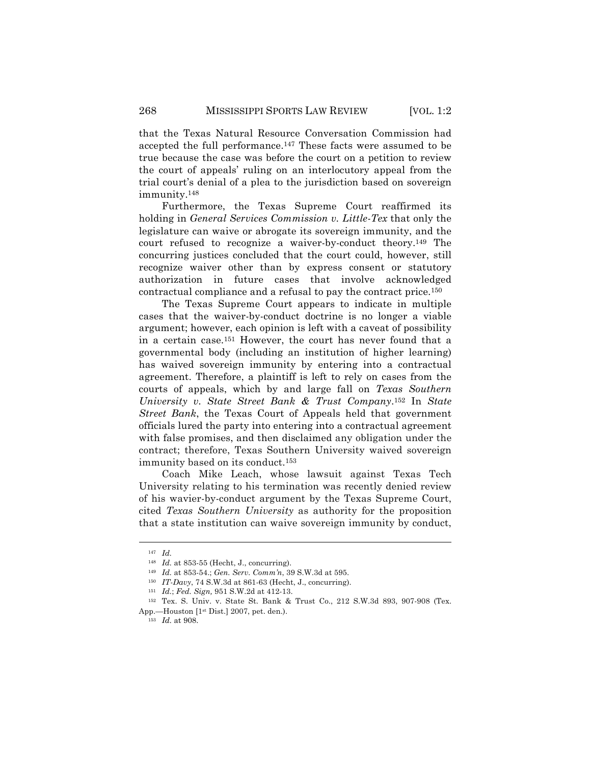that the Texas Natural Resource Conversation Commission had accepted the full performance.147 These facts were assumed to be true because the case was before the court on a petition to review the court of appeals' ruling on an interlocutory appeal from the trial court's denial of a plea to the jurisdiction based on sovereign immunity.148

Furthermore, the Texas Supreme Court reaffirmed its holding in *General Services Commission v. Little-Tex* that only the legislature can waive or abrogate its sovereign immunity, and the court refused to recognize a waiver-by-conduct theory.149 The concurring justices concluded that the court could, however, still recognize waiver other than by express consent or statutory authorization in future cases that involve acknowledged contractual compliance and a refusal to pay the contract price.150

The Texas Supreme Court appears to indicate in multiple cases that the waiver-by-conduct doctrine is no longer a viable argument; however, each opinion is left with a caveat of possibility in a certain case.151 However, the court has never found that a governmental body (including an institution of higher learning) has waived sovereign immunity by entering into a contractual agreement. Therefore, a plaintiff is left to rely on cases from the courts of appeals, which by and large fall on *Texas Southern University v. State Street Bank & Trust Company*.152 In *State Street Bank*, the Texas Court of Appeals held that government officials lured the party into entering into a contractual agreement with false promises, and then disclaimed any obligation under the contract; therefore, Texas Southern University waived sovereign immunity based on its conduct.153

Coach Mike Leach, whose lawsuit against Texas Tech University relating to his termination was recently denied review of his wavier-by-conduct argument by the Texas Supreme Court, cited *Texas Southern University* as authority for the proposition that a state institution can waive sovereign immunity by conduct,

<sup>147</sup> *Id.*

<sup>148</sup> *Id.* at 853-55 (Hecht, J., concurring).

<sup>149</sup> *Id.* at 853-54.; *Gen. Serv. Comm'n*, 39 S.W.3d at 595.

<sup>150</sup> *IT-Davy*, 74 S.W.3d at 861-63 (Hecht, J., concurring).

<sup>151</sup> *Id.*; *Fed. Sign,* 951 S.W.2d at 412-13.

<sup>152</sup> Tex. S. Univ. v. State St. Bank & Trust Co., 212 S.W.3d 893, 907-908 (Tex. App.—Houston [1st Dist.] 2007, pet. den.).

<sup>153</sup> *Id.* at 908.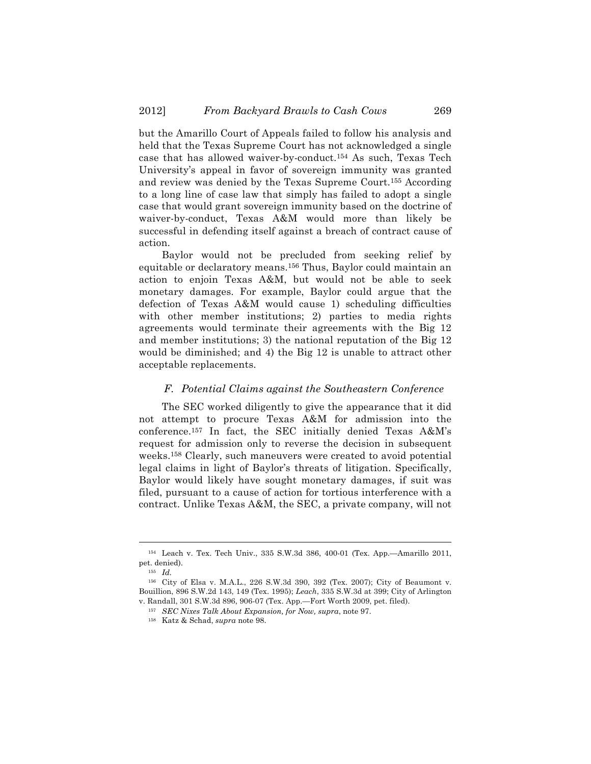but the Amarillo Court of Appeals failed to follow his analysis and held that the Texas Supreme Court has not acknowledged a single case that has allowed waiver-by-conduct.154 As such, Texas Tech University's appeal in favor of sovereign immunity was granted and review was denied by the Texas Supreme Court.155 According to a long line of case law that simply has failed to adopt a single case that would grant sovereign immunity based on the doctrine of waiver-by-conduct, Texas A&M would more than likely be successful in defending itself against a breach of contract cause of action.

Baylor would not be precluded from seeking relief by equitable or declaratory means.156 Thus, Baylor could maintain an action to enjoin Texas A&M, but would not be able to seek monetary damages. For example, Baylor could argue that the defection of Texas A&M would cause 1) scheduling difficulties with other member institutions; 2) parties to media rights agreements would terminate their agreements with the Big 12 and member institutions; 3) the national reputation of the Big 12 would be diminished; and 4) the Big 12 is unable to attract other acceptable replacements.

#### *F. Potential Claims against the Southeastern Conference*

The SEC worked diligently to give the appearance that it did not attempt to procure Texas A&M for admission into the conference.157 In fact, the SEC initially denied Texas A&M's request for admission only to reverse the decision in subsequent weeks.158 Clearly, such maneuvers were created to avoid potential legal claims in light of Baylor's threats of litigation. Specifically, Baylor would likely have sought monetary damages, if suit was filed, pursuant to a cause of action for tortious interference with a contract. Unlike Texas A&M, the SEC, a private company, will not

<sup>!!!!!!!!!!!!!!!!!!!!!!!!!!!!!!!!!!!!!!!!!!!!!!!!!!!!!!!!!!!!!!!!!!!!!!!!!!!!!!!!!!!!!!!!!!!!!!!!!!!!!!!!!!!!!!!!!!!!!!!!!!!!!!!!!!!!!!!</sup> <sup>154</sup> Leach v. Tex. Tech Univ., 335 S.W.3d 386, 400-01 (Tex. App.—Amarillo 2011, pet. denied).

<sup>155</sup> *Id.*

<sup>156</sup> City of Elsa v. M.A.L., 226 S.W.3d 390, 392 (Tex. 2007); City of Beaumont v. Bouillion, 896 S.W.2d 143, 149 (Tex. 1995); *Leach*, 335 S.W.3d at 399; City of Arlington v. Randall, 301 S.W.3d 896, 906-07 (Tex. App.—Fort Worth 2009, pet. filed).

<sup>157</sup> *SEC Nixes Talk About Expansion, for Now, supra*, note 97.

<sup>158</sup> Katz & Schad, *supra* note 98.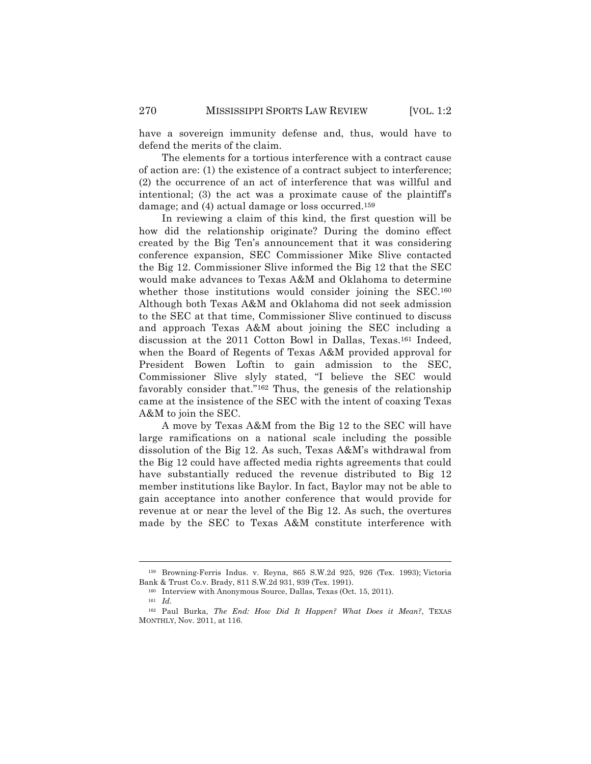have a sovereign immunity defense and, thus, would have to defend the merits of the claim.

The elements for a tortious interference with a contract cause of action are: (1) the existence of a contract subject to interference; (2) the occurrence of an act of interference that was willful and intentional; (3) the act was a proximate cause of the plaintiff's damage; and (4) actual damage or loss occurred.159

In reviewing a claim of this kind, the first question will be how did the relationship originate? During the domino effect created by the Big Ten's announcement that it was considering conference expansion, SEC Commissioner Mike Slive contacted the Big 12. Commissioner Slive informed the Big 12 that the SEC would make advances to Texas A&M and Oklahoma to determine whether those institutions would consider joining the SEC.<sup>160</sup> Although both Texas A&M and Oklahoma did not seek admission to the SEC at that time, Commissioner Slive continued to discuss and approach Texas A&M about joining the SEC including a discussion at the 2011 Cotton Bowl in Dallas, Texas.161 Indeed, when the Board of Regents of Texas A&M provided approval for President Bowen Loftin to gain admission to the SEC, Commissioner Slive slyly stated, "I believe the SEC would favorably consider that."162 Thus, the genesis of the relationship came at the insistence of the SEC with the intent of coaxing Texas A&M to join the SEC.

A move by Texas A&M from the Big 12 to the SEC will have large ramifications on a national scale including the possible dissolution of the Big 12. As such, Texas A&M's withdrawal from the Big 12 could have affected media rights agreements that could have substantially reduced the revenue distributed to Big 12 member institutions like Baylor. In fact, Baylor may not be able to gain acceptance into another conference that would provide for revenue at or near the level of the Big 12. As such, the overtures made by the SEC to Texas A&M constitute interference with

<sup>!!!!!!!!!!!!!!!!!!!!!!!!!!!!!!!!!!!!!!!!!!!!!!!!!!!!!!!!!!!!!!!!!!!!!!!!!!!!!!!!!!!!!!!!!!!!!!!!!!!!!!!!!!!!!!!!!!!!!!!!!!!!!!!!!!!!!!!</sup> <sup>159</sup> Browning-Ferris Indus. v. Reyna, 865 S.W.2d 925, 926 (Tex. 1993); Victoria Bank & Trust Co.v. Brady, 811 S.W.2d 931, 939 (Tex. 1991).

<sup>160</sup> Interview with Anonymous Source, Dallas, Texas (Oct. 15, 2011).

<sup>161</sup> *Id.*

<sup>162</sup> Paul Burka, *The End: How Did It Happen? What Does it Mean?*, TEXAS MONTHLY, Nov. 2011, at 116.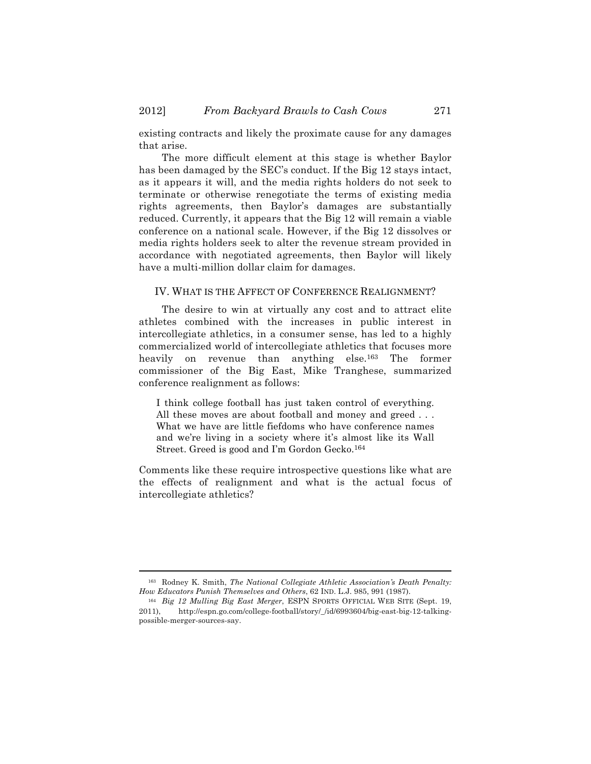existing contracts and likely the proximate cause for any damages that arise.

The more difficult element at this stage is whether Baylor has been damaged by the SEC's conduct. If the Big 12 stays intact, as it appears it will, and the media rights holders do not seek to terminate or otherwise renegotiate the terms of existing media rights agreements, then Baylor's damages are substantially reduced. Currently, it appears that the Big 12 will remain a viable conference on a national scale. However, if the Big 12 dissolves or media rights holders seek to alter the revenue stream provided in accordance with negotiated agreements, then Baylor will likely have a multi-million dollar claim for damages.

#### IV. WHAT IS THE AFFECT OF CONFERENCE REALIGNMENT?

The desire to win at virtually any cost and to attract elite athletes combined with the increases in public interest in intercollegiate athletics, in a consumer sense, has led to a highly commercialized world of intercollegiate athletics that focuses more heavily on revenue than anything else.<sup>163</sup> The former commissioner of the Big East, Mike Tranghese, summarized conference realignment as follows:

I think college football has just taken control of everything. All these moves are about football and money and greed ... What we have are little fiefdoms who have conference names and we're living in a society where it's almost like its Wall Street. Greed is good and I'm Gordon Gecko.164

Comments like these require introspective questions like what are the effects of realignment and what is the actual focus of intercollegiate athletics?

<sup>!!!!!!!!!!!!!!!!!!!!!!!!!!!!!!!!!!!!!!!!!!!!!!!!!!!!!!!!!!!!!!!!!!!!!!!!!!!!!!!!!!!!!!!!!!!!!!!!!!!!!!!!!!!!!!!!!!!!!!!!!!!!!!!!!!!!!!!</sup> <sup>163</sup> Rodney K. Smith, *The National Collegiate Athletic Association's Death Penalty: How Educators Punish Themselves and Others*, 62 IND. L.J. 985, 991 (1987).

<sup>164</sup> *Big 12 Mulling Big East Merger*, ESPN SPORTS OFFICIAL WEB SITE (Sept. 19, 2011), http://espn.go.com/college-football/story/\_/id/6993604/big-east-big-12-talkingpossible-merger-sources-say.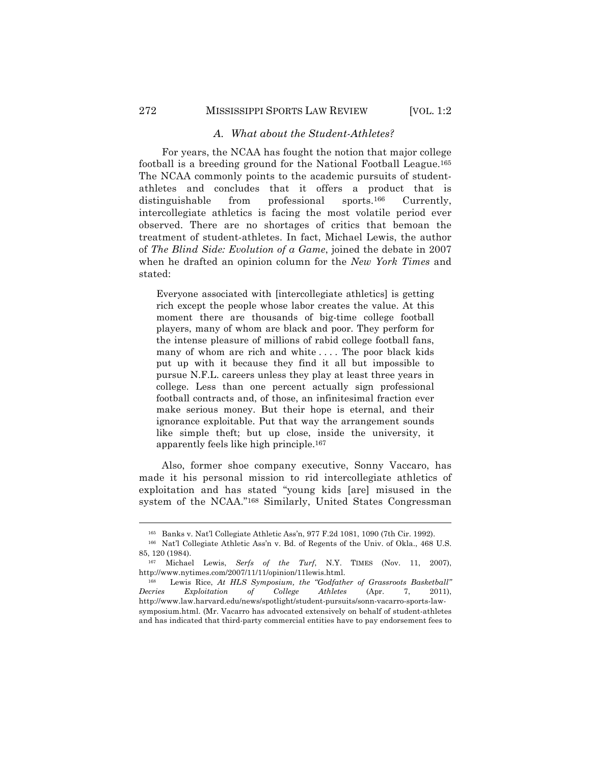### *A. What about the Student-Athletes?*

For years, the NCAA has fought the notion that major college football is a breeding ground for the National Football League.165 The NCAA commonly points to the academic pursuits of studentathletes and concludes that it offers a product that is distinguishable from professional sports.<sup>166</sup> Currently, intercollegiate athletics is facing the most volatile period ever observed. There are no shortages of critics that bemoan the treatment of student-athletes. In fact, Michael Lewis, the author of *The Blind Side: Evolution of a Game*, joined the debate in 2007 when he drafted an opinion column for the *New York Times* and stated:

Everyone associated with [intercollegiate athletics] is getting rich except the people whose labor creates the value. At this moment there are thousands of big-time college football players, many of whom are black and poor. They perform for the intense pleasure of millions of rabid college football fans, many of whom are rich and white .... The poor black kids put up with it because they find it all but impossible to pursue N.F.L. careers unless they play at least three years in college. Less than one percent actually sign professional football contracts and, of those, an infinitesimal fraction ever make serious money. But their hope is eternal, and their ignorance exploitable. Put that way the arrangement sounds like simple theft; but up close, inside the university, it apparently feels like high principle.167

Also, former shoe company executive, Sonny Vaccaro, has made it his personal mission to rid intercollegiate athletics of exploitation and has stated "young kids [are] misused in the system of the NCAA."168 Similarly, United States Congressman

<sup>!!!!!!!!!!!!!!!!!!!!!!!!!!!!!!!!!!!!!!!!!!!!!!!!!!!!!!!!!!!!!!!!!!!!!!!!!!!!!!!!!!!!!!!!!!!!!!!!!!!!!!!!!!!!!!!!!!!!!!!!!!!!!!!!!!!!!!!</sup> <sup>165</sup> Banks v. Nat'l Collegiate Athletic Ass'n, 977 F.2d 1081, 1090 (7th Cir. 1992).

<sup>166</sup> Nat'l Collegiate Athletic Ass'n v. Bd. of Regents of the Univ. of Okla., 468 U.S. 85, 120 (1984).

<sup>167</sup> Michael Lewis, *Serfs of the Turf*, N.Y. TIMES (Nov. 11, 2007), http://www.nytimes.com/2007/11/11/opinion/11lewis.html.

<sup>168</sup> Lewis Rice, *At HLS Symposium, the "Godfather of Grassroots Basketball" Decries Exploitation of College Athletes* (Apr. 7, 2011), http://www.law.harvard.edu/news/spotlight/student-pursuits/sonn-vacarro-sports-lawsymposium.html. (Mr. Vacarro has advocated extensively on behalf of student-athletes and has indicated that third-party commercial entities have to pay endorsement fees to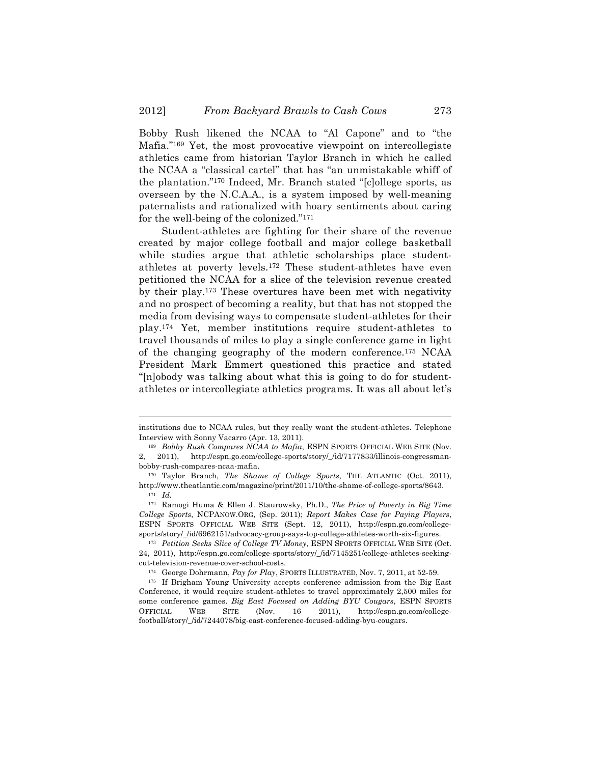Bobby Rush likened the NCAA to "Al Capone" and to "the Mafia."169 Yet, the most provocative viewpoint on intercollegiate athletics came from historian Taylor Branch in which he called the NCAA a "classical cartel" that has "an unmistakable whiff of the plantation."170 Indeed, Mr. Branch stated "[c]ollege sports, as overseen by the N.C.A.A., is a system imposed by well-meaning paternalists and rationalized with hoary sentiments about caring for the well-being of the colonized."171

Student-athletes are fighting for their share of the revenue created by major college football and major college basketball while studies argue that athletic scholarships place studentathletes at poverty levels.172 These student-athletes have even petitioned the NCAA for a slice of the television revenue created by their play.173 These overtures have been met with negativity and no prospect of becoming a reality, but that has not stopped the media from devising ways to compensate student-athletes for their play.174 Yet, member institutions require student-athletes to travel thousands of miles to play a single conference game in light of the changing geography of the modern conference.175 NCAA President Mark Emmert questioned this practice and stated "[n]obody was talking about what this is going to do for studentathletes or intercollegiate athletics programs. It was all about let's

<sup>!!!!!!!!!!!!!!!!!!!!!!!!!!!!!!!!!!!!!!!!!!!!!!!!!!!!!!!!!!!!!!!!!!!!!!!!!!!!!!!!!!!!!!!!!!!!!!!!!!!!!!!!!!!!!!!!!!!!!!!!!!!!!!!!!!!!!!!</sup> institutions due to NCAA rules, but they really want the student-athletes. Telephone Interview with Sonny Vacarro (Apr. 13, 2011).

<sup>169</sup> *Bobby Rush Compares NCAA to Mafia*, ESPN SPORTS OFFICIAL WEB SITE (Nov. 2, 2011), http://espn.go.com/college-sports/story/\_/id/7177833/illinois-congressmanbobby-rush-compares-ncaa-mafia.

<sup>170</sup> Taylor Branch, *The Shame of College Sports*, THE ATLANTIC (Oct. 2011), http://www.theatlantic.com/magazine/print/2011/10/the-shame-of-college-sports/8643. <sup>171</sup> *Id.*

<sup>172</sup> Ramogi Huma & Ellen J. Staurowsky, Ph.D., *The Price of Poverty in Big Time College Sports*, NCPANOW.ORG, (Sep. 2011); *Report Makes Case for Paying Players*, ESPN SPORTS OFFICIAL WEB SITE (Sept. 12, 2011), http://espn.go.com/collegesports/story/\_/id/6962151/advocacy-group-says-top-college-athletes-worth-six-figures.

<sup>173</sup> *Petition Seeks Slice of College TV Money*, ESPN SPORTS OFFICIAL WEB SITE (Oct. 24, 2011), http://espn.go.com/college-sports/story/\_/id/7145251/college-athletes-seekingcut-television-revenue-cover-school-costs.

<sup>174</sup> George Dohrmann, *Pay for Play*, SPORTS ILLUSTRATED, Nov. 7, 2011, at 52-59.

<sup>175</sup> If Brigham Young University accepts conference admission from the Big East Conference, it would require student-athletes to travel approximately 2,500 miles for some conference games. *Big East Focused on Adding BYU Cougars*, ESPN SPORTS OFFICIAL WEB SITE (Nov. 16 2011), http://espn.go.com/collegefootball/story/\_/id/7244078/big-east-conference-focused-adding-byu-cougars.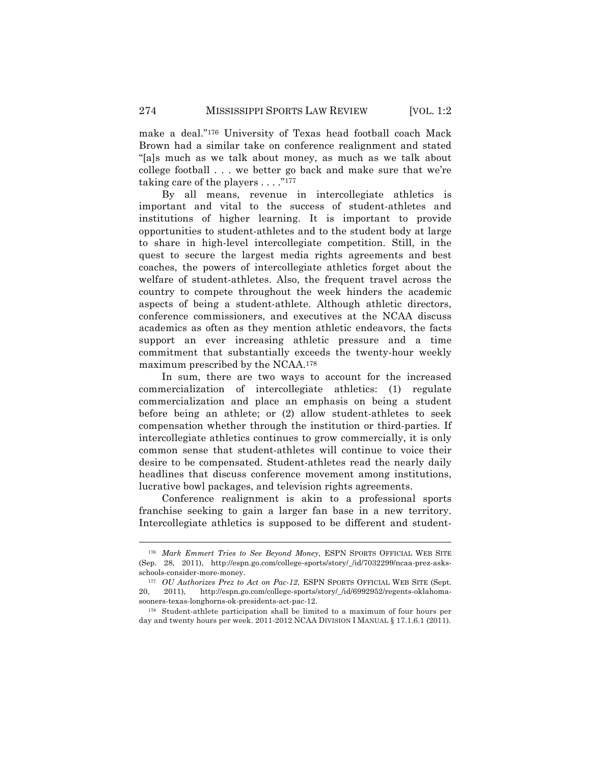make a deal."176 University of Texas head football coach Mack Brown had a similar take on conference realignment and stated "[a]s much as we talk about money, as much as we talk about college football . . . we better go back and make sure that we're taking care of the players  $\dots$ ."<sup>177</sup>

By all means, revenue in intercollegiate athletics is important and vital to the success of student-athletes and institutions of higher learning. It is important to provide opportunities to student-athletes and to the student body at large to share in high-level intercollegiate competition. Still, in the quest to secure the largest media rights agreements and best coaches, the powers of intercollegiate athletics forget about the welfare of student-athletes. Also, the frequent travel across the country to compete throughout the week hinders the academic aspects of being a student-athlete. Although athletic directors, conference commissioners, and executives at the NCAA discuss academics as often as they mention athletic endeavors, the facts support an ever increasing athletic pressure and a time commitment that substantially exceeds the twenty-hour weekly maximum prescribed by the NCAA.178

In sum, there are two ways to account for the increased commercialization of intercollegiate athletics: (1) regulate commercialization and place an emphasis on being a student before being an athlete; or (2) allow student-athletes to seek compensation whether through the institution or third-parties. If intercollegiate athletics continues to grow commercially, it is only common sense that student-athletes will continue to voice their desire to be compensated. Student-athletes read the nearly daily headlines that discuss conference movement among institutions, lucrative bowl packages, and television rights agreements.

Conference realignment is akin to a professional sports franchise seeking to gain a larger fan base in a new territory. Intercollegiate athletics is supposed to be different and student-

<sup>176</sup> *Mark Emmert Tries to See Beyond Money*, ESPN SPORTS OFFICIAL WEB SITE (Sep. 28, 2011), http://espn.go.com/college-sports/story/\_/id/7032299/ncaa-prez-asksschools-consider-more-money.

<sup>177</sup> *OU Authorizes Prez to Act on Pac-12*, ESPN SPORTS OFFICIAL WEB SITE (Sept. 20, 2011), http://espn.go.com/college-sports/story/\_/id/6992952/regents-oklahomasooners-texas-longhorns-ok-presidents-act-pac-12.

<sup>178</sup> Student-athlete participation shall be limited to a maximum of four hours per day and twenty hours per week. 2011-2012 NCAA DIVISION I MANUAL § 17.1.6.1 (2011).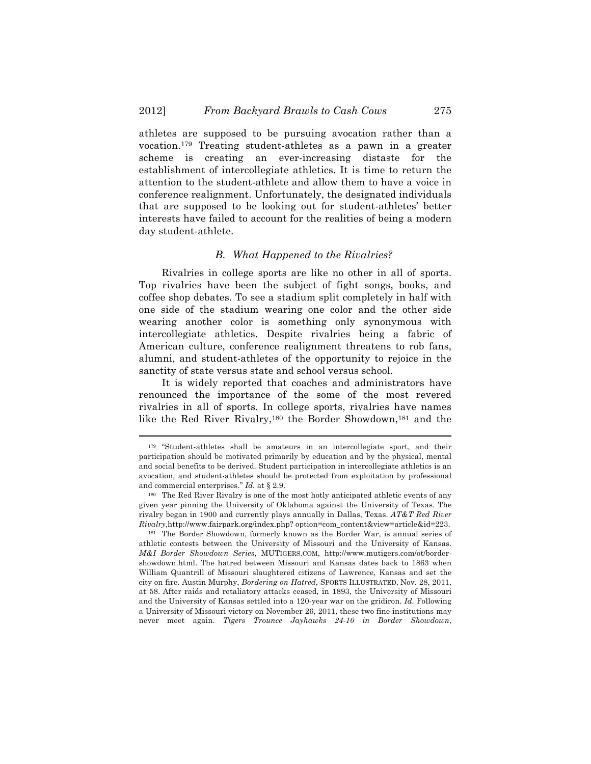athletes are supposed to be pursuing avocation rather than a vocation.179 Treating student-athletes as a pawn in a greater scheme is creating an ever-increasing distaste for the establishment of intercollegiate athletics. It is time to return the attention to the student-athlete and allow them to have a voice in conference realignment. Unfortunately, the designated individuals that are supposed to be looking out for student-athletes' better interests have failed to account for the realities of being a modern day student-athlete.

#### *B. What Happened to the Rivalries?*

Rivalries in college sports are like no other in all of sports. Top rivalries have been the subject of fight songs, books, and coffee shop debates. To see a stadium split completely in half with one side of the stadium wearing one color and the other side wearing another color is something only synonymous with intercollegiate athletics. Despite rivalries being a fabric of American culture, conference realignment threatens to rob fans, alumni, and student-athletes of the opportunity to rejoice in the sanctity of state versus state and school versus school.

It is widely reported that coaches and administrators have renounced the importance of the some of the most revered rivalries in all of sports. In college sports, rivalries have names like the Red River Rivalry,180 the Border Showdown,181 and the

<sup>179</sup> "Student-athletes shall be amateurs in an intercollegiate sport, and their participation should be motivated primarily by education and by the physical, mental and social benefits to be derived. Student participation in intercollegiate athletics is an avocation, and student-athletes should be protected from exploitation by professional and commercial enterprises." *Id.* at § 2.9.

<sup>180</sup> The Red River Rivalry is one of the most hotly anticipated athletic events of any given year pinning the University of Oklahoma against the University of Texas. The rivalry began in 1900 and currently plays annually in Dallas, Texas. *AT&T Red River Rivalry*,http://www.fairpark.org/index.php? option=com\_content&view=article&id=223.

<sup>181</sup> The Border Showdown, formerly known as the Border War, is annual series of athletic contests between the University of Missouri and the University of Kansas. *M&I Border Showdown Series*, MUTIGERS.COM, http://www.mutigers.com/ot/bordershowdown.html. The hatred between Missouri and Kansas dates back to 1863 when William Quantrill of Missouri slaughtered citizens of Lawrence, Kansas and set the city on fire. Austin Murphy, *Bordering on Hatred*, SPORTS ILLUSTRATED, Nov. 28, 2011, at 58. After raids and retaliatory attacks ceased, in 1893, the University of Missouri and the University of Kansas settled into a 120-year war on the gridiron. *Id.* Following a University of Missouri victory on November 26, 2011, these two fine institutions may never meet again. *Tigers Trounce Jayhawks 24-10 in Border Showdown*,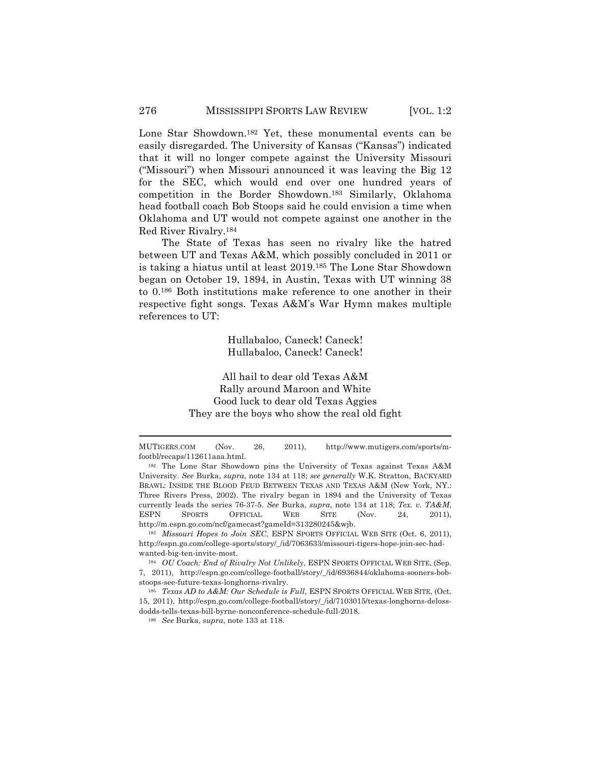Lone Star Showdown.182 Yet, these monumental events can be easily disregarded. The University of Kansas ("Kansas") indicated that it will no longer compete against the University Missouri ("Missouri") when Missouri announced it was leaving the Big 12 for the SEC, which would end over one hundred years of competition in the Border Showdown.183 Similarly, Oklahoma head football coach Bob Stoops said he could envision a time when Oklahoma and UT would not compete against one another in the Red River Rivalry.184

The State of Texas has seen no rivalry like the hatred between UT and Texas A&M, which possibly concluded in 2011 or is taking a hiatus until at least 2019.185 The Lone Star Showdown began on October 19, 1894, in Austin, Texas with UT winning 38 to 0.186 Both institutions make reference to one another in their respective fight songs. Texas A&M's War Hymn makes multiple references to UT:

> Hullabaloo, Caneck! Caneck! Hullabaloo, Caneck! Caneck!

All hail to dear old Texas A&M Rally around Maroon and White Good luck to dear old Texas Aggies They are the boys who show the real old fight

<sup>186</sup> *See* Burka, *supra*, note 133 at 118.

<sup>!!!!!!!!!!!!!!!!!!!!!!!!!!!!!!!!!!!!!!!!!!!!!!!!!!!!!!!!!!!!!!!!!!!!!!!!!!!!!!!!!!!!!!!!!!!!!!!!!!!!!!!!!!!!!!!!!!!!!!!!!!!!!!!!!!!!!!!</sup> MUTIGERS.COM (Nov. 26, 2011), http://www.mutigers.com/sports/mfootbl/recaps/112611aaa.html.

<sup>182</sup> The Lone Star Showdown pins the University of Texas against Texas A&M University. *See* Burka, *supra*, note 134 at 118; *see generally* W.K. Stratton, BACKYARD BRAWL: INSIDE THE BLOOD FEUD BETWEEN TEXAS AND TEXAS A&M (New York, NY.: Three Rivers Press, 2002). The rivalry began in 1894 and the University of Texas currently leads the series 76-37-5. *See* Burka, *supra*, note 134 at 118; *Tex. v. TA&M*, ESPN SPORTS OFFICIAL WEB SITE (Nov. 24, 2011), http://m.espn.go.com/ncf/gamecast?gameId=313280245&wjb.

<sup>183</sup> *Missouri Hopes to Join SEC*, ESPN SPORTS OFFICIAL WEB SITE (Oct. 6, 2011), http://espn.go.com/college-sports/story/\_/id/7063633/missouri-tigers-hope-join-sec-hadwanted-big-ten-invite-most.

<sup>184</sup> *OU Coach: End of Rivalry Not Unlikely*, ESPN SPORTS OFFICIAL WEB SITE, (Sep. 7, 2011), http://espn.go.com/college-football/story/\_/id/6936844/oklahoma-sooners-bobstoops-see-future-texas-longhorns-rivalry.

<sup>185</sup> *Texas AD to A&M: Our Schedule is Full*, ESPN SPORTS OFFICIAL WEB SITE, (Oct. 15, 2011), http://espn.go.com/college-football/story/\_/id/7103015/texas-longhorns-delossdodds-tells-texas-bill-byrne-nonconference-schedule-full-2018.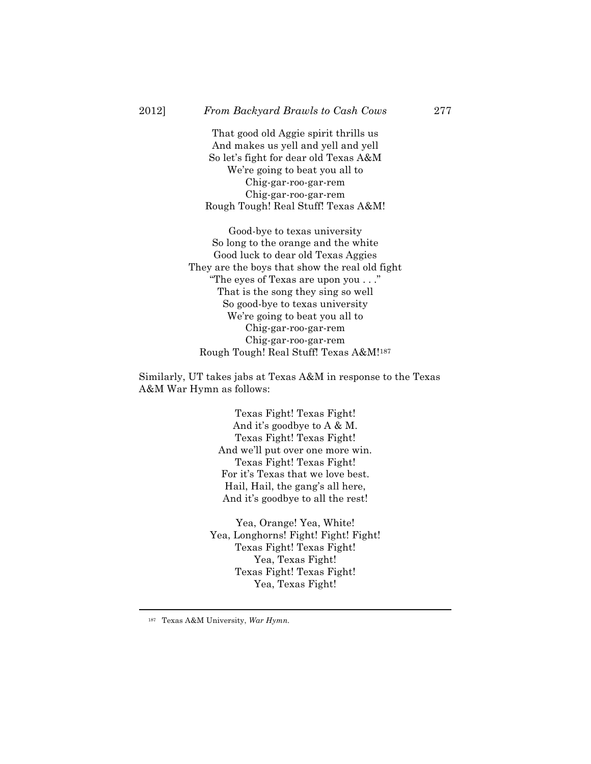That good old Aggie spirit thrills us And makes us yell and yell and yell So let's fight for dear old Texas A&M We're going to beat you all to Chig-gar-roo-gar-rem Chig-gar-roo-gar-rem Rough Tough! Real Stuff! Texas A&M!

Good-bye to texas university So long to the orange and the white Good luck to dear old Texas Aggies They are the boys that show the real old fight "The eyes of Texas are upon you . . ." That is the song they sing so well So good-bye to texas university We're going to beat you all to Chig-gar-roo-gar-rem Chig-gar-roo-gar-rem Rough Tough! Real Stuff! Texas A&M!187

Similarly, UT takes jabs at Texas A&M in response to the Texas A&M War Hymn as follows:

> Texas Fight! Texas Fight! And it's goodbye to A & M. Texas Fight! Texas Fight! And we'll put over one more win. Texas Fight! Texas Fight! For it's Texas that we love best. Hail, Hail, the gang's all here, And it's goodbye to all the rest!

Yea, Orange! Yea, White! Yea, Longhorns! Fight! Fight! Fight! Texas Fight! Texas Fight! Yea, Texas Fight! Texas Fight! Texas Fight! Yea, Texas Fight!

<sup>187</sup> Texas A&M University, *War Hymn.*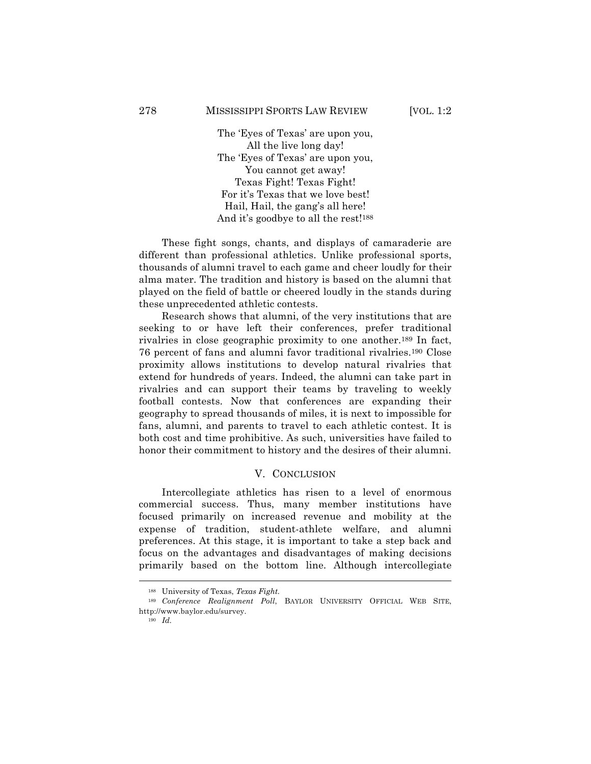The 'Eyes of Texas' are upon you, All the live long day! The 'Eyes of Texas' are upon you, You cannot get away! Texas Fight! Texas Fight! For it's Texas that we love best! Hail, Hail, the gang's all here! And it's goodbye to all the rest!<sup>188</sup>

These fight songs, chants, and displays of camaraderie are different than professional athletics. Unlike professional sports, thousands of alumni travel to each game and cheer loudly for their alma mater. The tradition and history is based on the alumni that played on the field of battle or cheered loudly in the stands during these unprecedented athletic contests.

Research shows that alumni, of the very institutions that are seeking to or have left their conferences, prefer traditional rivalries in close geographic proximity to one another.189 In fact, 76 percent of fans and alumni favor traditional rivalries.190 Close proximity allows institutions to develop natural rivalries that extend for hundreds of years. Indeed, the alumni can take part in rivalries and can support their teams by traveling to weekly football contests. Now that conferences are expanding their geography to spread thousands of miles, it is next to impossible for fans, alumni, and parents to travel to each athletic contest. It is both cost and time prohibitive. As such, universities have failed to honor their commitment to history and the desires of their alumni.

#### V. CONCLUSION

Intercollegiate athletics has risen to a level of enormous commercial success. Thus, many member institutions have focused primarily on increased revenue and mobility at the expense of tradition, student-athlete welfare, and alumni preferences. At this stage, it is important to take a step back and focus on the advantages and disadvantages of making decisions primarily based on the bottom line. Although intercollegiate

<sup>188</sup> University of Texas, *Texas Fight.*

<sup>189</sup> *Conference Realignment Poll*, BAYLOR UNIVERSITY OFFICIAL WEB SITE, http://www.baylor.edu/survey.

<sup>190</sup> *Id.*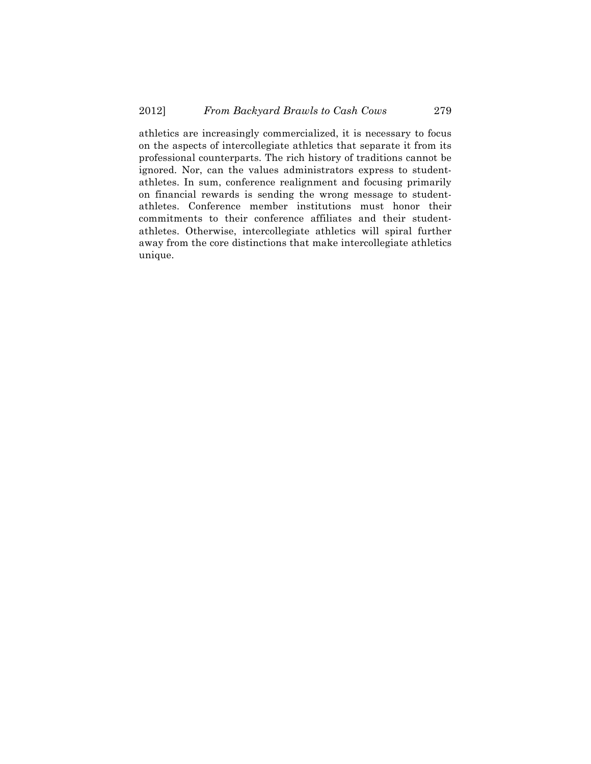athletics are increasingly commercialized, it is necessary to focus on the aspects of intercollegiate athletics that separate it from its professional counterparts. The rich history of traditions cannot be ignored. Nor, can the values administrators express to studentathletes. In sum, conference realignment and focusing primarily on financial rewards is sending the wrong message to studentathletes. Conference member institutions must honor their commitments to their conference affiliates and their studentathletes. Otherwise, intercollegiate athletics will spiral further away from the core distinctions that make intercollegiate athletics unique.